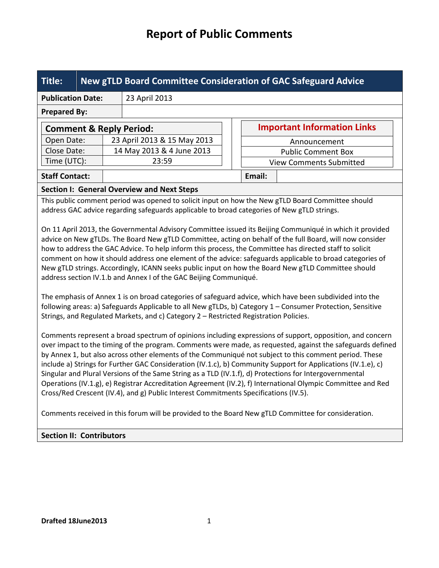| Title:                                                                                                                                                                                                                                                                                                                                                                                                                                                                                                                                                                                                                                                                                                                                                                |  | <b>New gTLD Board Committee Consideration of GAC Safeguard Advice</b> |  |                                    |  |  |  |
|-----------------------------------------------------------------------------------------------------------------------------------------------------------------------------------------------------------------------------------------------------------------------------------------------------------------------------------------------------------------------------------------------------------------------------------------------------------------------------------------------------------------------------------------------------------------------------------------------------------------------------------------------------------------------------------------------------------------------------------------------------------------------|--|-----------------------------------------------------------------------|--|------------------------------------|--|--|--|
| <b>Publication Date:</b>                                                                                                                                                                                                                                                                                                                                                                                                                                                                                                                                                                                                                                                                                                                                              |  | 23 April 2013                                                         |  |                                    |  |  |  |
| <b>Prepared By:</b>                                                                                                                                                                                                                                                                                                                                                                                                                                                                                                                                                                                                                                                                                                                                                   |  |                                                                       |  |                                    |  |  |  |
| <b>Comment &amp; Reply Period:</b>                                                                                                                                                                                                                                                                                                                                                                                                                                                                                                                                                                                                                                                                                                                                    |  |                                                                       |  | <b>Important Information Links</b> |  |  |  |
| Open Date:                                                                                                                                                                                                                                                                                                                                                                                                                                                                                                                                                                                                                                                                                                                                                            |  | 23 April 2013 & 15 May 2013                                           |  | Announcement                       |  |  |  |
| Close Date:                                                                                                                                                                                                                                                                                                                                                                                                                                                                                                                                                                                                                                                                                                                                                           |  | 14 May 2013 & 4 June 2013                                             |  | <b>Public Comment Box</b>          |  |  |  |
| Time (UTC):                                                                                                                                                                                                                                                                                                                                                                                                                                                                                                                                                                                                                                                                                                                                                           |  | 23:59                                                                 |  | <b>View Comments Submitted</b>     |  |  |  |
| <b>Staff Contact:</b>                                                                                                                                                                                                                                                                                                                                                                                                                                                                                                                                                                                                                                                                                                                                                 |  |                                                                       |  | Email:                             |  |  |  |
|                                                                                                                                                                                                                                                                                                                                                                                                                                                                                                                                                                                                                                                                                                                                                                       |  | <b>Section I: General Overview and Next Steps</b>                     |  |                                    |  |  |  |
| This public comment period was opened to solicit input on how the New gTLD Board Committee should<br>address GAC advice regarding safeguards applicable to broad categories of New gTLD strings.                                                                                                                                                                                                                                                                                                                                                                                                                                                                                                                                                                      |  |                                                                       |  |                                    |  |  |  |
| On 11 April 2013, the Governmental Advisory Committee issued its Beijing Communiqué in which it provided<br>advice on New gTLDs. The Board New gTLD Committee, acting on behalf of the full Board, will now consider<br>how to address the GAC Advice. To help inform this process, the Committee has directed staff to solicit<br>comment on how it should address one element of the advice: safeguards applicable to broad categories of<br>New gTLD strings. Accordingly, ICANN seeks public input on how the Board New gTLD Committee should<br>address section IV.1.b and Annex I of the GAC Beijing Communiqué.                                                                                                                                                |  |                                                                       |  |                                    |  |  |  |
| The emphasis of Annex 1 is on broad categories of safeguard advice, which have been subdivided into the<br>following areas: a) Safeguards Applicable to all New gTLDs, b) Category 1 - Consumer Protection, Sensitive<br>Strings, and Regulated Markets, and c) Category 2 - Restricted Registration Policies.                                                                                                                                                                                                                                                                                                                                                                                                                                                        |  |                                                                       |  |                                    |  |  |  |
| Comments represent a broad spectrum of opinions including expressions of support, opposition, and concern<br>over impact to the timing of the program. Comments were made, as requested, against the safeguards defined<br>by Annex 1, but also across other elements of the Communiqué not subject to this comment period. These<br>include a) Strings for Further GAC Consideration (IV.1.c), b) Community Support for Applications (IV.1.e), c)<br>Singular and Plural Versions of the Same String as a TLD (IV.1.f), d) Protections for Intergovernmental<br>Operations (IV.1.g), e) Registrar Accreditation Agreement (IV.2), f) International Olympic Committee and Red<br>Cross/Red Crescent (IV.4), and g) Public Interest Commitments Specifications (IV.5). |  |                                                                       |  |                                    |  |  |  |
| Comments received in this forum will be provided to the Board New gTLD Committee for consideration.                                                                                                                                                                                                                                                                                                                                                                                                                                                                                                                                                                                                                                                                   |  |                                                                       |  |                                    |  |  |  |
| <b>Section II: Contributors</b>                                                                                                                                                                                                                                                                                                                                                                                                                                                                                                                                                                                                                                                                                                                                       |  |                                                                       |  |                                    |  |  |  |
|                                                                                                                                                                                                                                                                                                                                                                                                                                                                                                                                                                                                                                                                                                                                                                       |  |                                                                       |  |                                    |  |  |  |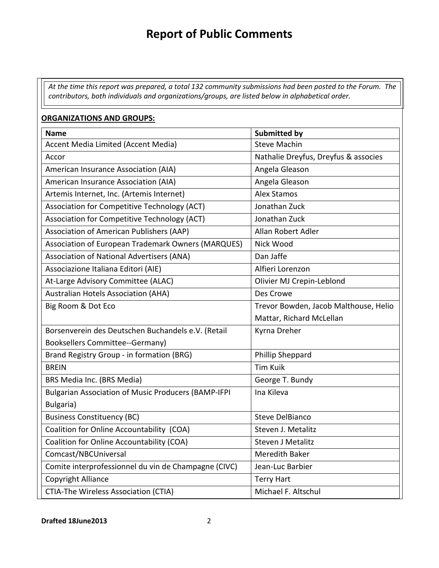*At the time this report was prepared, a total 132 community submissions had been posted to the Forum. The contributors, both individuals and organizations/groups, are listed below in alphabetical order.* 

### **ORGANIZATIONS AND GROUPS:**

| <b>Name</b>                                                | <b>Submitted by</b>                   |
|------------------------------------------------------------|---------------------------------------|
| Accent Media Limited (Accent Media)                        | <b>Steve Machin</b>                   |
| Accor                                                      | Nathalie Dreyfus, Dreyfus & associes  |
| American Insurance Association (AIA)                       | Angela Gleason                        |
| American Insurance Association (AIA)                       | Angela Gleason                        |
| Artemis Internet, Inc. (Artemis Internet)                  | <b>Alex Stamos</b>                    |
| Association for Competitive Technology (ACT)               | Jonathan Zuck                         |
| Association for Competitive Technology (ACT)               | Jonathan Zuck                         |
| Association of American Publishers (AAP)                   | Allan Robert Adler                    |
| Association of European Trademark Owners (MARQUES)         | Nick Wood                             |
| <b>Association of National Advertisers (ANA)</b>           | Dan Jaffe                             |
| Associazione Italiana Editori (AIE)                        | Alfieri Lorenzon                      |
| At-Large Advisory Committee (ALAC)                         | Olivier MJ Crepin-Leblond             |
| <b>Australian Hotels Association (AHA)</b>                 | Des Crowe                             |
| Big Room & Dot Eco                                         | Trevor Bowden, Jacob Malthouse, Helio |
|                                                            | Mattar, Richard McLellan              |
| Borsenverein des Deutschen Buchandels e.V. (Retail         | Kyrna Dreher                          |
| <b>Booksellers Committee--Germany)</b>                     |                                       |
| Brand Registry Group - in formation (BRG)                  | Phillip Sheppard                      |
| <b>BREIN</b>                                               | <b>Tim Kuik</b>                       |
| BRS Media Inc. (BRS Media)                                 | George T. Bundy                       |
| <b>Bulgarian Association of Music Producers (BAMP-IFPI</b> | Ina Kileva                            |
| Bulgaria)                                                  |                                       |
| <b>Business Constituency (BC)</b>                          | <b>Steve DelBianco</b>                |
| Coalition for Online Accountability (COA)                  | Steven J. Metalitz                    |
| Coalition for Online Accountability (COA)                  | <b>Steven J Metalitz</b>              |
| Comcast/NBCUniversal                                       | <b>Meredith Baker</b>                 |
| Comite interprofessionnel du vin de Champagne (CIVC)       | Jean-Luc Barbier                      |
| Copyright Alliance                                         | <b>Terry Hart</b>                     |
| CTIA-The Wireless Association (CTIA)                       | Michael F. Altschul                   |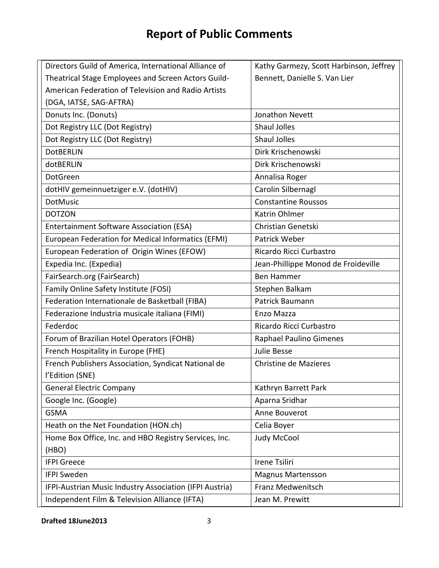| Directors Guild of America, International Alliance of   | Kathy Garmezy, Scott Harbinson, Jeffrey |
|---------------------------------------------------------|-----------------------------------------|
| Theatrical Stage Employees and Screen Actors Guild-     | Bennett, Danielle S. Van Lier           |
| American Federation of Television and Radio Artists     |                                         |
| (DGA, IATSE, SAG-AFTRA)                                 |                                         |
| Donuts Inc. (Donuts)                                    | Jonathon Nevett                         |
| Dot Registry LLC (Dot Registry)                         | <b>Shaul Jolles</b>                     |
| Dot Registry LLC (Dot Registry)                         | <b>Shaul Jolles</b>                     |
| <b>DotBERLIN</b>                                        | Dirk Krischenowski                      |
| dotBERLIN                                               | Dirk Krischenowski                      |
| DotGreen                                                | Annalisa Roger                          |
| dotHIV gemeinnuetziger e.V. (dotHIV)                    | Carolin Silbernagl                      |
| <b>DotMusic</b>                                         | <b>Constantine Roussos</b>              |
| <b>DOTZON</b>                                           | Katrin Ohlmer                           |
| <b>Entertainment Software Association (ESA)</b>         | Christian Genetski                      |
| European Federation for Medical Informatics (EFMI)      | Patrick Weber                           |
| European Federation of Origin Wines (EFOW)              | Ricardo Ricci Curbastro                 |
| Expedia Inc. (Expedia)                                  | Jean-Phillippe Monod de Froideville     |
| FairSearch.org (FairSearch)                             | <b>Ben Hammer</b>                       |
| Family Online Safety Institute (FOSI)                   | Stephen Balkam                          |
| Federation Internationale de Basketball (FIBA)          | Patrick Baumann                         |
| Federazione Industria musicale italiana (FIMI)          | Enzo Mazza                              |
| Federdoc                                                | Ricardo Ricci Curbastro                 |
| Forum of Brazilian Hotel Operators (FOHB)               | <b>Raphael Paulino Gimenes</b>          |
| French Hospitality in Europe (FHE)                      | Julie Besse                             |
| French Publishers Association, Syndicat National de     | <b>Christine de Mazieres</b>            |
| l'Edition (SNE)                                         |                                         |
| <b>General Electric Company</b>                         | Kathryn Barrett Park                    |
| Google Inc. (Google)                                    | Aparna Sridhar                          |
| <b>GSMA</b>                                             | Anne Bouverot                           |
| Heath on the Net Foundation (HON.ch)                    | Celia Boyer                             |
| Home Box Office, Inc. and HBO Registry Services, Inc.   | <b>Judy McCool</b>                      |
| (HBO)                                                   |                                         |
| <b>IFPI Greece</b>                                      | Irene Tsiliri                           |
| <b>IFPI Sweden</b>                                      | <b>Magnus Martensson</b>                |
| IFPI-Austrian Music Industry Association (IFPI Austria) | Franz Medwenitsch                       |
| Independent Film & Television Alliance (IFTA)           | Jean M. Prewitt                         |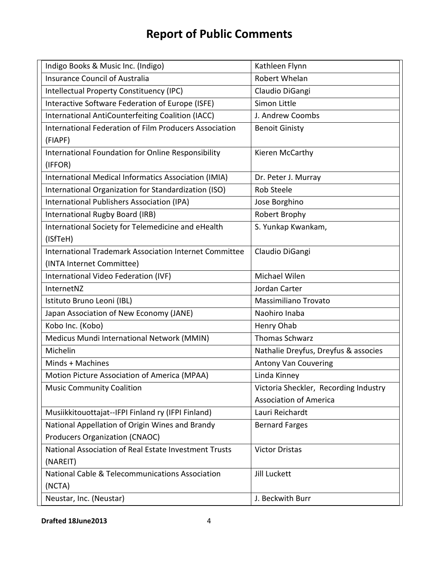| Indigo Books & Music Inc. (Indigo)                            | Kathleen Flynn                        |
|---------------------------------------------------------------|---------------------------------------|
| <b>Insurance Council of Australia</b>                         | Robert Whelan                         |
| Intellectual Property Constituency (IPC)                      | Claudio DiGangi                       |
| Interactive Software Federation of Europe (ISFE)              | Simon Little                          |
| International AntiCounterfeiting Coalition (IACC)             | J. Andrew Coombs                      |
| International Federation of Film Producers Association        | <b>Benoit Ginisty</b>                 |
| (FIAPF)                                                       |                                       |
| International Foundation for Online Responsibility            | Kieren McCarthy                       |
| (IFFOR)                                                       |                                       |
| International Medical Informatics Association (IMIA)          | Dr. Peter J. Murray                   |
| International Organization for Standardization (ISO)          | <b>Rob Steele</b>                     |
| International Publishers Association (IPA)                    | Jose Borghino                         |
| International Rugby Board (IRB)                               | Robert Brophy                         |
| International Society for Telemedicine and eHealth            | S. Yunkap Kwankam,                    |
| (ISfTeH)                                                      |                                       |
| <b>International Trademark Association Internet Committee</b> | Claudio DiGangi                       |
| (INTA Internet Committee)                                     |                                       |
| International Video Federation (IVF)                          | Michael Wilen                         |
| InternetNZ                                                    | Jordan Carter                         |
| Istituto Bruno Leoni (IBL)                                    | Massimiliano Trovato                  |
| Japan Association of New Economy (JANE)                       | Naohiro Inaba                         |
| Kobo Inc. (Kobo)                                              | Henry Ohab                            |
| Medicus Mundi International Network (MMIN)                    | <b>Thomas Schwarz</b>                 |
| Michelin                                                      | Nathalie Dreyfus, Dreyfus & associes  |
| Minds + Machines                                              | <b>Antony Van Couvering</b>           |
| Motion Picture Association of America (MPAA)                  | Linda Kinney                          |
| <b>Music Community Coalition</b>                              | Victoria Sheckler, Recording Industry |
|                                                               | <b>Association of America</b>         |
| Musiikkitouottajat--IFPI Finland ry (IFPI Finland)            | Lauri Reichardt                       |
| National Appellation of Origin Wines and Brandy               | <b>Bernard Farges</b>                 |
| <b>Producers Organization (CNAOC)</b>                         |                                       |
| National Association of Real Estate Investment Trusts         | <b>Victor Dristas</b>                 |
| (NAREIT)                                                      |                                       |
| <b>National Cable &amp; Telecommunications Association</b>    | Jill Luckett                          |
| (NCTA)                                                        |                                       |
| Neustar, Inc. (Neustar)                                       |                                       |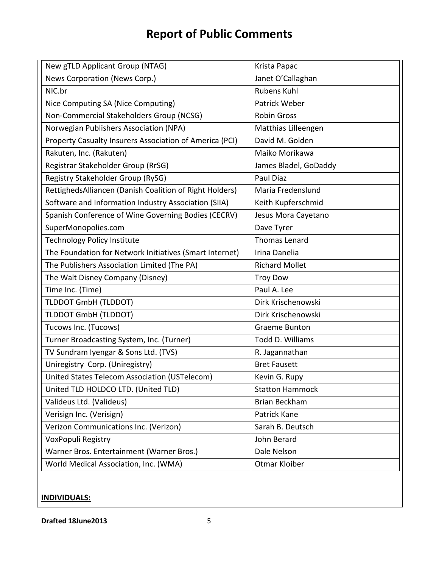| New gTLD Applicant Group (NTAG)                         | Krista Papac           |
|---------------------------------------------------------|------------------------|
| News Corporation (News Corp.)                           | Janet O'Callaghan      |
| NIC.br                                                  | <b>Rubens Kuhl</b>     |
| Nice Computing SA (Nice Computing)                      | <b>Patrick Weber</b>   |
| Non-Commercial Stakeholders Group (NCSG)                | <b>Robin Gross</b>     |
| Norwegian Publishers Association (NPA)                  | Matthias Lilleengen    |
| Property Casualty Insurers Association of America (PCI) | David M. Golden        |
| Rakuten, Inc. (Rakuten)                                 | Maiko Morikawa         |
| Registrar Stakeholder Group (RrSG)                      | James Bladel, GoDaddy  |
| Registry Stakeholder Group (RySG)                       | Paul Diaz              |
| RettighedsAlliancen (Danish Coalition of Right Holders) | Maria Fredenslund      |
| Software and Information Industry Association (SIIA)    | Keith Kupferschmid     |
| Spanish Conference of Wine Governing Bodies (CECRV)     | Jesus Mora Cayetano    |
| SuperMonopolies.com                                     | Dave Tyrer             |
| <b>Technology Policy Institute</b>                      | <b>Thomas Lenard</b>   |
| The Foundation for Network Initiatives (Smart Internet) | Irina Danelia          |
| The Publishers Association Limited (The PA)             | <b>Richard Mollet</b>  |
| The Walt Disney Company (Disney)                        | <b>Troy Dow</b>        |
| Time Inc. (Time)                                        | Paul A. Lee            |
| TLDDOT GmbH (TLDDOT)                                    | Dirk Krischenowski     |
| TLDDOT GmbH (TLDDOT)                                    | Dirk Krischenowski     |
| Tucows Inc. (Tucows)                                    | <b>Graeme Bunton</b>   |
| Turner Broadcasting System, Inc. (Turner)               | Todd D. Williams       |
| TV Sundram Iyengar & Sons Ltd. (TVS)                    | R. Jagannathan         |
| Uniregistry Corp. (Uniregistry)                         | <b>Bret Fausett</b>    |
| United States Telecom Association (USTelecom)           | Kevin G. Rupy          |
| United TLD HOLDCO LTD. (United TLD)                     | <b>Statton Hammock</b> |
| Valideus Ltd. (Valideus)                                | <b>Brian Beckham</b>   |
| Verisign Inc. (Verisign)                                | Patrick Kane           |
| Verizon Communications Inc. (Verizon)                   | Sarah B. Deutsch       |
| VoxPopuli Registry                                      | John Berard            |
| Warner Bros. Entertainment (Warner Bros.)               | Dale Nelson            |
| World Medical Association, Inc. (WMA)                   | Otmar Kloiber          |

# **INDIVIDUALS:**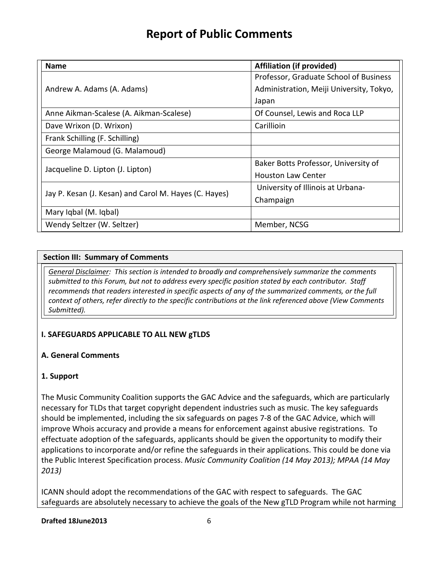| <b>Name</b>                                           | <b>Affiliation (if provided)</b>         |
|-------------------------------------------------------|------------------------------------------|
|                                                       | Professor, Graduate School of Business   |
| Andrew A. Adams (A. Adams)                            | Administration, Meiji University, Tokyo, |
|                                                       | Japan                                    |
| Anne Aikman-Scalese (A. Aikman-Scalese)               | Of Counsel, Lewis and Roca LLP           |
| Dave Wrixon (D. Wrixon)                               | Carillioin                               |
| Frank Schilling (F. Schilling)                        |                                          |
| George Malamoud (G. Malamoud)                         |                                          |
| Jacqueline D. Lipton (J. Lipton)                      | Baker Botts Professor, University of     |
|                                                       | <b>Houston Law Center</b>                |
| Jay P. Kesan (J. Kesan) and Carol M. Hayes (C. Hayes) | University of Illinois at Urbana-        |
|                                                       | Champaign                                |
| Mary Iqbal (M. Iqbal)                                 |                                          |
| Wendy Seltzer (W. Seltzer)                            | Member, NCSG                             |

### **Section III: Summary of Comments**

*General Disclaimer: This section is intended to broadly and comprehensively summarize the comments submitted to this Forum, but not to address every specific position stated by each contributor. Staff recommends that readers interested in specific aspects of any of the summarized comments, or the full context of others, refer directly to the specific contributions at the link referenced above (View Comments Submitted).* 

### **I. SAFEGUARDS APPLICABLE TO ALL NEW gTLDS**

### **A. General Comments**

### **1. Support**

The Music Community Coalition supports the GAC Advice and the safeguards, which are particularly necessary for TLDs that target copyright dependent industries such as music. The key safeguards should be implemented, including the six safeguards on pages 7-8 of the GAC Advice, which will improve Whois accuracy and provide a means for enforcement against abusive registrations. To effectuate adoption of the safeguards, applicants should be given the opportunity to modify their applications to incorporate and/or refine the safeguards in their applications. This could be done via the Public Interest Specification process. *Music Community Coalition (14 May 2013); MPAA (14 May 2013)*

ICANN should adopt the recommendations of the GAC with respect to safeguards. The GAC safeguards are absolutely necessary to achieve the goals of the New gTLD Program while not harming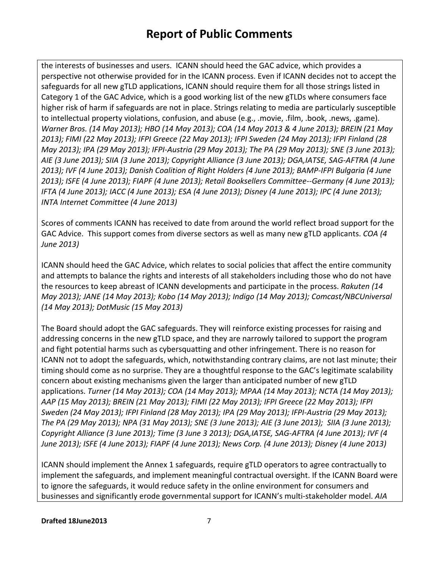the interests of businesses and users. ICANN should heed the GAC advice, which provides a perspective not otherwise provided for in the ICANN process. Even if ICANN decides not to accept the safeguards for all new gTLD applications, ICANN should require them for all those strings listed in Category 1 of the GAC Advice, which is a good working list of the new gTLDs where consumers face higher risk of harm if safeguards are not in place. Strings relating to media are particularly susceptible to intellectual property violations, confusion, and abuse (e.g., .movie, .film, .book, .news, .game). *Warner Bros. (14 May 2013); HBO (14 May 2013); COA (14 May 2013 & 4 June 2013); BREIN (21 May 2013); FIMI (22 May 2013); IFPI Greece (22 May 2013); IFPI Sweden (24 May 2013); IFPI Finland (28 May 2013); IPA (29 May 2013); IFPI-Austria (29 May 2013); The PA (29 May 2013); SNE (3 June 2013); AIE (3 June 2013); SIIA (3 June 2013); Copyright Alliance (3 June 2013); DGA,IATSE, SAG-AFTRA (4 June 2013); IVF (4 June 2013); Danish Coalition of Right Holders (4 June 2013); BAMP-IFPI Bulgaria (4 June 2013); ISFE (4 June 2013); FIAPF (4 June 2013); Retail Booksellers Committee--Germany (4 June 2013); IFTA (4 June 2013); IACC (4 June 2013); ESA (4 June 2013); Disney (4 June 2013); IPC (4 June 2013); INTA Internet Committee (4 June 2013)*

Scores of comments ICANN has received to date from around the world reflect broad support for the GAC Advice. This support comes from diverse sectors as well as many new gTLD applicants. *COA (4 June 2013)*

ICANN should heed the GAC Advice, which relates to social policies that affect the entire community and attempts to balance the rights and interests of all stakeholders including those who do not have the resources to keep abreast of ICANN developments and participate in the process. *Rakuten (14 May 2013); JANE (14 May 2013); Kobo (14 May 2013); Indigo (14 May 2013); Comcast/NBCUniversal (14 May 2013); DotMusic (15 May 2013)*

The Board should adopt the GAC safeguards. They will reinforce existing processes for raising and addressing concerns in the new gTLD space, and they are narrowly tailored to support the program and fight potential harms such as cybersquatting and other infringement. There is no reason for ICANN not to adopt the safeguards, which, notwithstanding contrary claims, are not last minute; their timing should come as no surprise. They are a thoughtful response to the GAC's legitimate scalability concern about existing mechanisms given the larger than anticipated number of new gTLD applications. *Turner (14 May 2013); COA (14 May 2013); MPAA (14 May 2013); NCTA (14 May 2013); AAP (15 May 2013); BREIN (21 May 2013); FIMI (22 May 2013); IFPI Greece (22 May 2013); IFPI Sweden (24 May 2013); IFPI Finland (28 May 2013); IPA (29 May 2013); IFPI-Austria (29 May 2013); The PA (29 May 2013); NPA (31 May 2013); SNE (3 June 2013); AIE (3 June 2013); SIIA (3 June 2013); Copyright Alliance (3 June 2013); Time (3 June 3 2013); DGA,IATSE, SAG-AFTRA (4 June 2013); IVF (4 June 2013); ISFE (4 June 2013); FIAPF (4 June 2013); News Corp. (4 June 2013); Disney (4 June 2013)*

ICANN should implement the Annex 1 safeguards, require gTLD operators to agree contractually to implement the safeguards, and implement meaningful contractual oversight. If the ICANN Board were to ignore the safeguards, it would reduce safety in the online environment for consumers and businesses and significantly erode governmental support for ICANN's multi-stakeholder model. *AIA*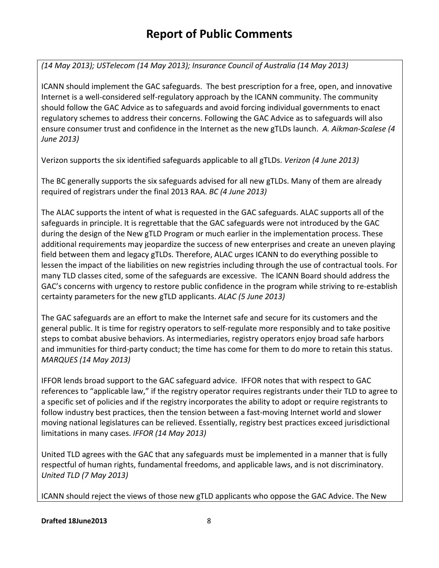# *(14 May 2013); USTelecom (14 May 2013); Insurance Council of Australia (14 May 2013)*

ICANN should implement the GAC safeguards. The best prescription for a free, open, and innovative Internet is a well-considered self-regulatory approach by the ICANN community. The community should follow the GAC Advice as to safeguards and avoid forcing individual governments to enact regulatory schemes to address their concerns. Following the GAC Advice as to safeguards will also ensure consumer trust and confidence in the Internet as the new gTLDs launch. *A. Aikman-Scalese (4 June 2013)*

Verizon supports the six identified safeguards applicable to all gTLDs. *Verizon (4 June 2013)*

The BC generally supports the six safeguards advised for all new gTLDs. Many of them are already required of registrars under the final 2013 RAA. *BC (4 June 2013)*

The ALAC supports the intent of what is requested in the GAC safeguards. ALAC supports all of the safeguards in principle. It is regrettable that the GAC safeguards were not introduced by the GAC during the design of the New gTLD Program or much earlier in the implementation process. These additional requirements may jeopardize the success of new enterprises and create an uneven playing field between them and legacy gTLDs. Therefore, ALAC urges ICANN to do everything possible to lessen the impact of the liabilities on new registries including through the use of contractual tools. For many TLD classes cited, some of the safeguards are excessive. The ICANN Board should address the GAC's concerns with urgency to restore public confidence in the program while striving to re-establish certainty parameters for the new gTLD applicants. *ALAC (5 June 2013)*

The GAC safeguards are an effort to make the Internet safe and secure for its customers and the general public. It is time for registry operators to self-regulate more responsibly and to take positive steps to combat abusive behaviors. As intermediaries, registry operators enjoy broad safe harbors and immunities for third-party conduct; the time has come for them to do more to retain this status. *MARQUES (14 May 2013)*

IFFOR lends broad support to the GAC safeguard advice. IFFOR notes that with respect to GAC references to "applicable law," if the registry operator requires registrants under their TLD to agree to a specific set of policies and if the registry incorporates the ability to adopt or require registrants to follow industry best practices, then the tension between a fast-moving Internet world and slower moving national legislatures can be relieved. Essentially, registry best practices exceed jurisdictional limitations in many cases. *IFFOR (14 May 2013)*

United TLD agrees with the GAC that any safeguards must be implemented in a manner that is fully respectful of human rights, fundamental freedoms, and applicable laws, and is not discriminatory. *United TLD (7 May 2013)*

ICANN should reject the views of those new gTLD applicants who oppose the GAC Advice. The New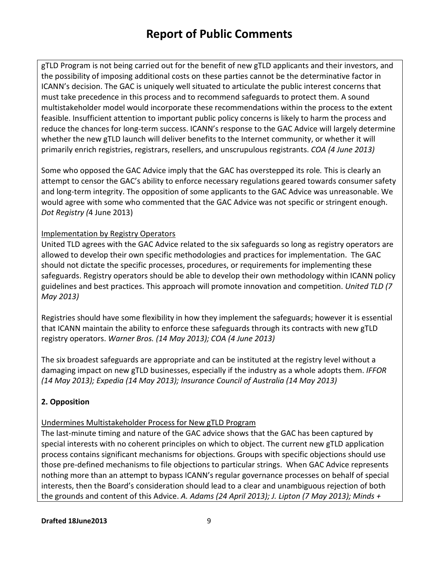gTLD Program is not being carried out for the benefit of new gTLD applicants and their investors, and the possibility of imposing additional costs on these parties cannot be the determinative factor in ICANN's decision. The GAC is uniquely well situated to articulate the public interest concerns that must take precedence in this process and to recommend safeguards to protect them. A sound multistakeholder model would incorporate these recommendations within the process to the extent feasible. Insufficient attention to important public policy concerns is likely to harm the process and reduce the chances for long-term success. ICANN's response to the GAC Advice will largely determine whether the new gTLD launch will deliver benefits to the Internet community, or whether it will primarily enrich registries, registrars, resellers, and unscrupulous registrants. *COA (4 June 2013)*

Some who opposed the GAC Advice imply that the GAC has overstepped its role*.* This is clearly an attempt to censor the GAC's ability to enforce necessary regulations geared towards consumer safety and long-term integrity. The opposition of some applicants to the GAC Advice was unreasonable. We would agree with some who commented that the GAC Advice was not specific or stringent enough. *Dot Registry (*4 June 2013)

### Implementation by Registry Operators

United TLD agrees with the GAC Advice related to the six safeguards so long as registry operators are allowed to develop their own specific methodologies and practices for implementation. The GAC should not dictate the specific processes, procedures, or requirements for implementing these safeguards. Registry operators should be able to develop their own methodology within ICANN policy guidelines and best practices. This approach will promote innovation and competition. *United TLD (7 May 2013)*

Registries should have some flexibility in how they implement the safeguards; however it is essential that ICANN maintain the ability to enforce these safeguards through its contracts with new gTLD registry operators. *Warner Bros. (14 May 2013); COA (4 June 2013)*

The six broadest safeguards are appropriate and can be instituted at the registry level without a damaging impact on new gTLD businesses, especially if the industry as a whole adopts them. *IFFOR (14 May 2013); Expedia (14 May 2013); Insurance Council of Australia (14 May 2013)*

# **2. Opposition**

### Undermines Multistakeholder Process for New gTLD Program

The last-minute timing and nature of the GAC advice shows that the GAC has been captured by special interests with no coherent principles on which to object. The current new gTLD application process contains significant mechanisms for objections. Groups with specific objections should use those pre-defined mechanisms to file objections to particular strings. When GAC Advice represents nothing more than an attempt to bypass ICANN's regular governance processes on behalf of special interests, then the Board's consideration should lead to a clear and unambiguous rejection of both the grounds and content of this Advice. *A. Adams (24 April 2013); J. Lipton (7 May 2013); Minds +*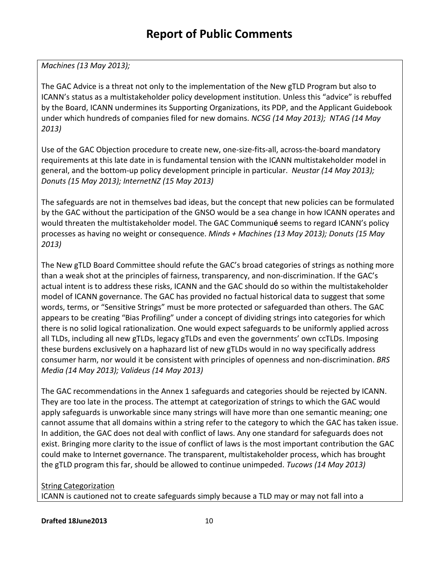*Machines (13 May 2013);* 

The GAC Advice is a threat not only to the implementation of the New gTLD Program but also to ICANN's status as a multistakeholder policy development institution. Unless this "advice" is rebuffed by the Board, ICANN undermines its Supporting Organizations, its PDP, and the Applicant Guidebook under which hundreds of companies filed for new domains. *NCSG (14 May 2013); NTAG (14 May 2013)*

Use of the GAC Objection procedure to create new, one-size-fits-all, across-the-board mandatory requirements at this late date in is fundamental tension with the ICANN multistakeholder model in general, and the bottom-up policy development principle in particular. *Neustar (14 May 2013); Donuts (15 May 2013); InternetNZ (15 May 2013)*

The safeguards are not in themselves bad ideas, but the concept that new policies can be formulated by the GAC without the participation of the GNSO would be a sea change in how ICANN operates and would threaten the multistakeholder model. The GAC Communiqu**é** seems to regard ICANN's policy processes as having no weight or consequence. *Minds + Machines (13 May 2013); Donuts (15 May 2013)*

The New gTLD Board Committee should refute the GAC's broad categories of strings as nothing more than a weak shot at the principles of fairness, transparency, and non-discrimination. If the GAC's actual intent is to address these risks, ICANN and the GAC should do so within the multistakeholder model of ICANN governance. The GAC has provided no factual historical data to suggest that some words, terms, or "Sensitive Strings" must be more protected or safeguarded than others. The GAC appears to be creating "Bias Profiling" under a concept of dividing strings into categories for which there is no solid logical rationalization. One would expect safeguards to be uniformly applied across all TLDs, including all new gTLDs, legacy gTLDs and even the governments' own ccTLDs. Imposing these burdens exclusively on a haphazard list of new gTLDs would in no way specifically address consumer harm, nor would it be consistent with principles of openness and non-discrimination. *BRS Media (14 May 2013); Valideus (14 May 2013)*

The GAC recommendations in the Annex 1 safeguards and categories should be rejected by ICANN. They are too late in the process. The attempt at categorization of strings to which the GAC would apply safeguards is unworkable since many strings will have more than one semantic meaning; one cannot assume that all domains within a string refer to the category to which the GAC has taken issue. In addition, the GAC does not deal with conflict of laws. Any one standard for safeguards does not exist. Bringing more clarity to the issue of conflict of laws is the most important contribution the GAC could make to Internet governance. The transparent, multistakeholder process, which has brought the gTLD program this far, should be allowed to continue unimpeded. *Tucows (14 May 2013)*

### String Categorization

ICANN is cautioned not to create safeguards simply because a TLD may or may not fall into a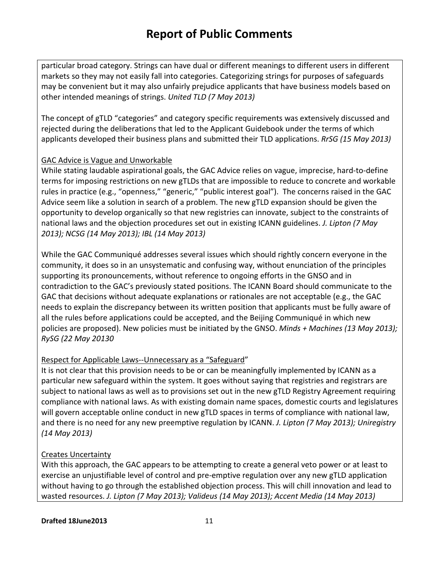particular broad category. Strings can have dual or different meanings to different users in different markets so they may not easily fall into categories. Categorizing strings for purposes of safeguards may be convenient but it may also unfairly prejudice applicants that have business models based on other intended meanings of strings. *United TLD (7 May 2013)*

The concept of gTLD "categories" and category specific requirements was extensively discussed and rejected during the deliberations that led to the Applicant Guidebook under the terms of which applicants developed their business plans and submitted their TLD applications. *RrSG (15 May 2013)*

### GAC Advice is Vague and Unworkable

While stating laudable aspirational goals, the GAC Advice relies on vague, imprecise, hard-to-define terms for imposing restrictions on new gTLDs that are impossible to reduce to concrete and workable rules in practice (e.g., "openness," "generic," "public interest goal"). The concerns raised in the GAC Advice seem like a solution in search of a problem. The new gTLD expansion should be given the opportunity to develop organically so that new registries can innovate, subject to the constraints of national laws and the objection procedures set out in existing ICANN guidelines. *J. Lipton (7 May 2013); NCSG (14 May 2013); IBL (14 May 2013)*

While the GAC Communiqué addresses several issues which should rightly concern everyone in the community, it does so in an unsystematic and confusing way, without enunciation of the principles supporting its pronouncements, without reference to ongoing efforts in the GNSO and in contradiction to the GAC's previously stated positions. The ICANN Board should communicate to the GAC that decisions without adequate explanations or rationales are not acceptable (e.g., the GAC needs to explain the discrepancy between its written position that applicants must be fully aware of all the rules before applications could be accepted, and the Beijing Communiqué in which new policies are proposed). New policies must be initiated by the GNSO. *Minds + Machines (13 May 2013); RySG (22 May 20130*

### Respect for Applicable Laws--Unnecessary as a "Safeguard"

It is not clear that this provision needs to be or can be meaningfully implemented by ICANN as a particular new safeguard within the system. It goes without saying that registries and registrars are subject to national laws as well as to provisions set out in the new gTLD Registry Agreement requiring compliance with national laws. As with existing domain name spaces, domestic courts and legislatures will govern acceptable online conduct in new gTLD spaces in terms of compliance with national law, and there is no need for any new preemptive regulation by ICANN. *J. Lipton (7 May 2013); Uniregistry (14 May 2013)*

### Creates Uncertainty

With this approach, the GAC appears to be attempting to create a general veto power or at least to exercise an unjustifiable level of control and pre-emptive regulation over any new gTLD application without having to go through the established objection process. This will chill innovation and lead to wasted resources. *J. Lipton (7 May 2013); Valideus (14 May 2013); Accent Media (14 May 2013)*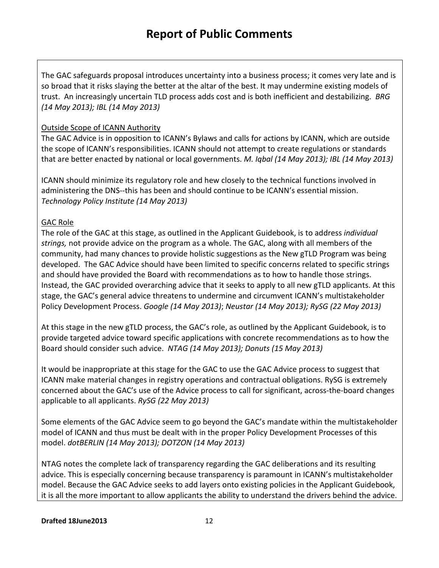The GAC safeguards proposal introduces uncertainty into a business process; it comes very late and is so broad that it risks slaying the better at the altar of the best. It may undermine existing models of trust. An increasingly uncertain TLD process adds cost and is both inefficient and destabilizing. *BRG (14 May 2013); IBL (14 May 2013)*

#### Outside Scope of ICANN Authority

The GAC Advice is in opposition to ICANN's Bylaws and calls for actions by ICANN, which are outside the scope of ICANN's responsibilities. ICANN should not attempt to create regulations or standards that are better enacted by national or local governments. *M. Iqbal (14 May 2013); IBL (14 May 2013)*

ICANN should minimize its regulatory role and hew closely to the technical functions involved in administering the DNS--this has been and should continue to be ICANN's essential mission. *Technology Policy Institute (14 May 2013)*

#### GAC Role

The role of the GAC at this stage, as outlined in the Applicant Guidebook, is to address *individual strings,* not provide advice on the program as a whole. The GAC, along with all members of the community, had many chances to provide holistic suggestions as the New gTLD Program was being developed. The GAC Advice should have been limited to specific concerns related to specific strings and should have provided the Board with recommendations as to how to handle those strings. Instead, the GAC provided overarching advice that it seeks to apply to all new gTLD applicants. At this stage, the GAC's general advice threatens to undermine and circumvent ICANN's multistakeholder Policy Development Process. *Google (14 May 2013)*; *Neustar (14 May 2013); RySG (22 May 2013)*

At this stage in the new gTLD process, the GAC's role, as outlined by the Applicant Guidebook, is to provide targeted advice toward specific applications with concrete recommendations as to how the Board should consider such advice. *NTAG (14 May 2013); Donuts (15 May 2013)*

It would be inappropriate at this stage for the GAC to use the GAC Advice process to suggest that ICANN make material changes in registry operations and contractual obligations. RySG is extremely concerned about the GAC's use of the Advice process to call for significant, across-the-board changes applicable to all applicants. *RySG (22 May 2013)*

Some elements of the GAC Advice seem to go beyond the GAC's mandate within the multistakeholder model of ICANN and thus must be dealt with in the proper Policy Development Processes of this model. *dotBERLIN (14 May 2013); DOTZON (14 May 2013)*

NTAG notes the complete lack of transparency regarding the GAC deliberations and its resulting advice. This is especially concerning because transparency is paramount in ICANN's multistakeholder model. Because the GAC Advice seeks to add layers onto existing policies in the Applicant Guidebook, it is all the more important to allow applicants the ability to understand the drivers behind the advice.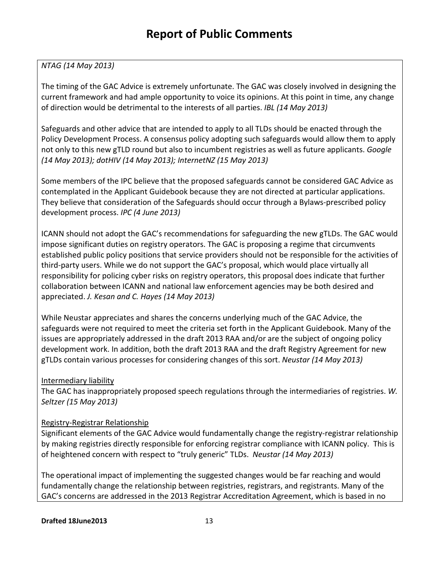### *NTAG (14 May 2013)*

The timing of the GAC Advice is extremely unfortunate. The GAC was closely involved in designing the current framework and had ample opportunity to voice its opinions. At this point in time, any change of direction would be detrimental to the interests of all parties. *IBL (14 May 2013)*

Safeguards and other advice that are intended to apply to all TLDs should be enacted through the Policy Development Process. A consensus policy adopting such safeguards would allow them to apply not only to this new gTLD round but also to incumbent registries as well as future applicants. *Google (14 May 2013); dotHIV (14 May 2013); InternetNZ (15 May 2013)*

Some members of the IPC believe that the proposed safeguards cannot be considered GAC Advice as contemplated in the Applicant Guidebook because they are not directed at particular applications. They believe that consideration of the Safeguards should occur through a Bylaws-prescribed policy development process. *IPC (4 June 2013)*

ICANN should not adopt the GAC's recommendations for safeguarding the new gTLDs. The GAC would impose significant duties on registry operators. The GAC is proposing a regime that circumvents established public policy positions that service providers should not be responsible for the activities of third-party users. While we do not support the GAC's proposal, which would place virtually all responsibility for policing cyber risks on registry operators, this proposal does indicate that further collaboration between ICANN and national law enforcement agencies may be both desired and appreciated. *J. Kesan and C. Hayes (14 May 2013)*

While Neustar appreciates and shares the concerns underlying much of the GAC Advice, the safeguards were not required to meet the criteria set forth in the Applicant Guidebook. Many of the issues are appropriately addressed in the draft 2013 RAA and/or are the subject of ongoing policy development work. In addition, both the draft 2013 RAA and the draft Registry Agreement for new gTLDs contain various processes for considering changes of this sort. *Neustar (14 May 2013)*

#### Intermediary liability

The GAC has inappropriately proposed speech regulations through the intermediaries of registries. *W. Seltzer (15 May 2013)*

#### Registry-Registrar Relationship

Significant elements of the GAC Advice would fundamentally change the registry-registrar relationship by making registries directly responsible for enforcing registrar compliance with ICANN policy. This is of heightened concern with respect to "truly generic" TLDs. *Neustar (14 May 2013)*

The operational impact of implementing the suggested changes would be far reaching and would fundamentally change the relationship between registries, registrars, and registrants. Many of the GAC's concerns are addressed in the 2013 Registrar Accreditation Agreement, which is based in no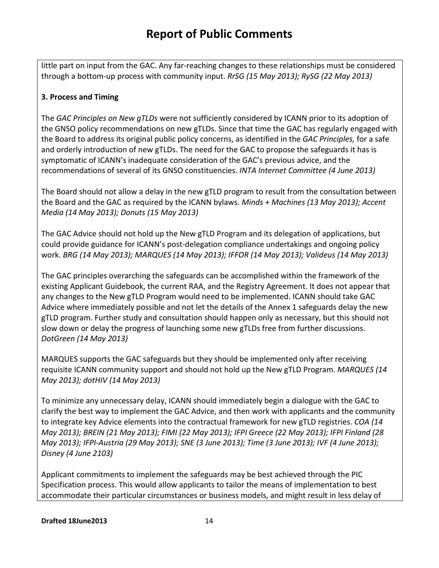little part on input from the GAC. Any far-reaching changes to these relationships must be considered through a bottom-up process with community input. *RrSG (15 May 2013); RySG (22 May 2013)*

### **3. Process and Timing**

The *GAC Principles on New gTLDs* were not sufficiently considered by ICANN prior to its adoption of the GNSO policy recommendations on new gTLDs. Since that time the GAC has regularly engaged with the Board to address its original public policy concerns, as identified in the *GAC Principles,* for a safe and orderly introduction of new gTLDs. The need for the GAC to propose the safeguards it has is symptomatic of ICANN's inadequate consideration of the GAC's previous advice, and the recommendations of several of its GNSO constituencies. *INTA Internet Committee (4 June 2013)*

The Board should not allow a delay in the new gTLD program to result from the consultation between the Board and the GAC as required by the ICANN bylaws. *Minds + Machines (13 May 2013); Accent Media (14 May 2013); Donuts (15 May 2013)*

The GAC Advice should not hold up the New gTLD Program and its delegation of applications, but could provide guidance for ICANN's post-delegation compliance undertakings and ongoing policy work. *BRG (14 May 2013); MARQUES (14 May 2013); IFFOR (14 May 2013); Valideus (14 May 2013)*

The GAC principles overarching the safeguards can be accomplished within the framework of the existing Applicant Guidebook, the current RAA, and the Registry Agreement. It does not appear that any changes to the New gTLD Program would need to be implemented. ICANN should take GAC Advice where immediately possible and not let the details of the Annex 1 safeguards delay the new gTLD program. Further study and consultation should happen only as necessary, but this should not slow down or delay the progress of launching some new gTLDs free from further discussions. *DotGreen (14 May 2013)*

MARQUES supports the GAC safeguards but they should be implemented only after receiving requisite ICANN community support and should not hold up the New gTLD Program. *MARQUES (14 May 2013); dotHIV (14 May 2013)*

To minimize any unnecessary delay, ICANN should immediately begin a dialogue with the GAC to clarify the best way to implement the GAC Advice, and then work with applicants and the community to integrate key Advice elements into the contractual framework for new gTLD registries. *COA (14 May 2013); BREIN (21 May 2013); FIMI (22 May 2013); IFPI Greece (22 May 2013); IFPI Finland (28 May 2013); IFPI-Austria (29 May 2013); SNE (3 June 2013); Time (3 June 2013); IVF (4 June 2013); Disney (4 June 2103)*

Applicant commitments to implement the safeguards may be best achieved through the PIC Specification process. This would allow applicants to tailor the means of implementation to best accommodate their particular circumstances or business models, and might result in less delay of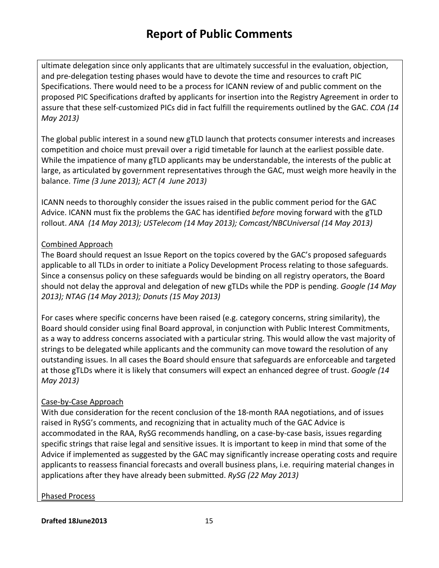ultimate delegation since only applicants that are ultimately successful in the evaluation, objection, and pre-delegation testing phases would have to devote the time and resources to craft PIC Specifications. There would need to be a process for ICANN review of and public comment on the proposed PIC Specifications drafted by applicants for insertion into the Registry Agreement in order to assure that these self-customized PICs did in fact fulfill the requirements outlined by the GAC. *COA (14 May 2013)*

The global public interest in a sound new gTLD launch that protects consumer interests and increases competition and choice must prevail over a rigid timetable for launch at the earliest possible date. While the impatience of many gTLD applicants may be understandable, the interests of the public at large, as articulated by government representatives through the GAC, must weigh more heavily in the balance. *Time (3 June 2013); ACT (4 June 2013)*

ICANN needs to thoroughly consider the issues raised in the public comment period for the GAC Advice. ICANN must fix the problems the GAC has identified *before* moving forward with the gTLD rollout. *ANA (14 May 2013); USTelecom (14 May 2013); Comcast/NBCUniversal (14 May 2013)*

### Combined Approach

The Board should request an Issue Report on the topics covered by the GAC's proposed safeguards applicable to all TLDs in order to initiate a Policy Development Process relating to those safeguards. Since a consensus policy on these safeguards would be binding on all registry operators, the Board should not delay the approval and delegation of new gTLDs while the PDP is pending. *Google (14 May 2013); NTAG (14 May 2013); Donuts (15 May 2013)*

For cases where specific concerns have been raised (e.g. category concerns, string similarity), the Board should consider using final Board approval, in conjunction with Public Interest Commitments, as a way to address concerns associated with a particular string. This would allow the vast majority of strings to be delegated while applicants and the community can move toward the resolution of any outstanding issues. In all cases the Board should ensure that safeguards are enforceable and targeted at those gTLDs where it is likely that consumers will expect an enhanced degree of trust. *Google (14 May 2013)*

### Case-by-Case Approach

With due consideration for the recent conclusion of the 18-month RAA negotiations, and of issues raised in RySG's comments, and recognizing that in actuality much of the GAC Advice is accommodated in the RAA, RySG recommends handling, on a case-by-case basis, issues regarding specific strings that raise legal and sensitive issues. It is important to keep in mind that some of the Advice if implemented as suggested by the GAC may significantly increase operating costs and require applicants to reassess financial forecasts and overall business plans, i.e. requiring material changes in applications after they have already been submitted. *RySG (22 May 2013)*

Phased Process

**Drafted 18June2013** 15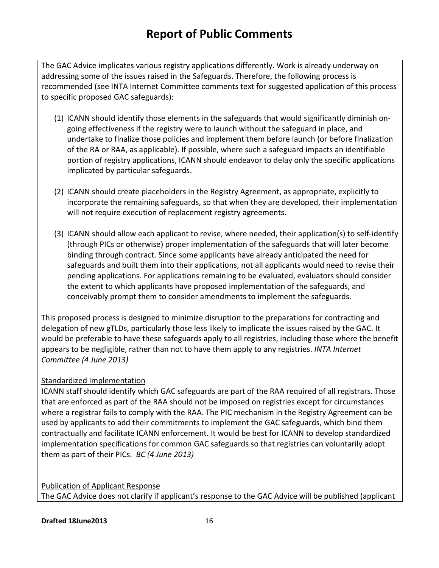The GAC Advice implicates various registry applications differently. Work is already underway on addressing some of the issues raised in the Safeguards. Therefore, the following process is recommended (see INTA Internet Committee comments text for suggested application of this process to specific proposed GAC safeguards):

- (1) ICANN should identify those elements in the safeguards that would significantly diminish ongoing effectiveness if the registry were to launch without the safeguard in place, and undertake to finalize those policies and implement them before launch (or before finalization of the RA or RAA, as applicable). If possible, where such a safeguard impacts an identifiable portion of registry applications, ICANN should endeavor to delay only the specific applications implicated by particular safeguards.
- (2) ICANN should create placeholders in the Registry Agreement, as appropriate, explicitly to incorporate the remaining safeguards, so that when they are developed, their implementation will not require execution of replacement registry agreements.
- (3) ICANN should allow each applicant to revise, where needed, their application(s) to self-identify (through PICs or otherwise) proper implementation of the safeguards that will later become binding through contract. Since some applicants have already anticipated the need for safeguards and built them into their applications, not all applicants would need to revise their pending applications. For applications remaining to be evaluated, evaluators should consider the extent to which applicants have proposed implementation of the safeguards, and conceivably prompt them to consider amendments to implement the safeguards.

This proposed process is designed to minimize disruption to the preparations for contracting and delegation of new gTLDs, particularly those less likely to implicate the issues raised by the GAC. It would be preferable to have these safeguards apply to all registries, including those where the benefit appears to be negligible, rather than not to have them apply to any registries. *INTA Internet Committee (4 June 2013)*

### Standardized Implementation

ICANN staff should identify which GAC safeguards are part of the RAA required of all registrars. Those that are enforced as part of the RAA should not be imposed on registries except for circumstances where a registrar fails to comply with the RAA. The PIC mechanism in the Registry Agreement can be used by applicants to add their commitments to implement the GAC safeguards, which bind them contractually and facilitate ICANN enforcement. It would be best for ICANN to develop standardized implementation specifications for common GAC safeguards so that registries can voluntarily adopt them as part of their PICs. *BC (4 June 2013)*

Publication of Applicant Response The GAC Advice does not clarify if applicant's response to the GAC Advice will be published (applicant

**Drafted 18June2013** 16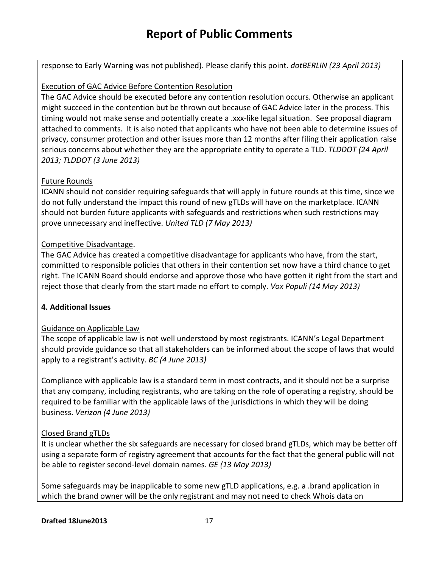response to Early Warning was not published). Please clarify this point. *dotBERLIN (23 April 2013)*

### Execution of GAC Advice Before Contention Resolution

The GAC Advice should be executed before any contention resolution occurs. Otherwise an applicant might succeed in the contention but be thrown out because of GAC Advice later in the process. This timing would not make sense and potentially create a .xxx-like legal situation. See proposal diagram attached to comments. It is also noted that applicants who have not been able to determine issues of privacy, consumer protection and other issues more than 12 months after filing their application raise serious concerns about whether they are the appropriate entity to operate a TLD. *TLDDOT (24 April 2013; TLDDOT (3 June 2013)*

### Future Rounds

ICANN should not consider requiring safeguards that will apply in future rounds at this time, since we do not fully understand the impact this round of new gTLDs will have on the marketplace. ICANN should not burden future applicants with safeguards and restrictions when such restrictions may prove unnecessary and ineffective. *United TLD (7 May 2013)*

### Competitive Disadvantage.

The GAC Advice has created a competitive disadvantage for applicants who have, from the start, committed to responsible policies that others in their contention set now have a third chance to get right. The ICANN Board should endorse and approve those who have gotten it right from the start and reject those that clearly from the start made no effort to comply. *Vox Populi (14 May 2013)*

### **4. Additional Issues**

### Guidance on Applicable Law

The scope of applicable law is not well understood by most registrants. ICANN's Legal Department should provide guidance so that all stakeholders can be informed about the scope of laws that would apply to a registrant's activity. *BC (4 June 2013)*

Compliance with applicable law is a standard term in most contracts, and it should not be a surprise that any company, including registrants, who are taking on the role of operating a registry, should be required to be familiar with the applicable laws of the jurisdictions in which they will be doing business. *Verizon (4 June 2013)*

### Closed Brand gTLDs

It is unclear whether the six safeguards are necessary for closed brand gTLDs, which may be better off using a separate form of registry agreement that accounts for the fact that the general public will not be able to register second-level domain names. *GE (13 May 2013)*

Some safeguards may be inapplicable to some new gTLD applications, e.g. a .brand application in which the brand owner will be the only registrant and may not need to check Whois data on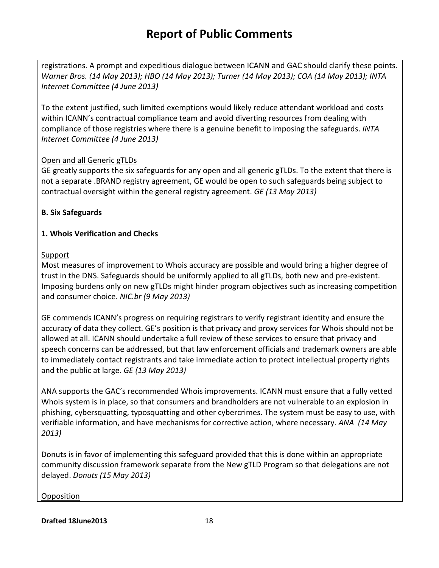registrations. A prompt and expeditious dialogue between ICANN and GAC should clarify these points. *Warner Bros. (14 May 2013); HBO (14 May 2013); Turner (14 May 2013); COA (14 May 2013); INTA Internet Committee (4 June 2013)*

To the extent justified, such limited exemptions would likely reduce attendant workload and costs within ICANN's contractual compliance team and avoid diverting resources from dealing with compliance of those registries where there is a genuine benefit to imposing the safeguards. *INTA Internet Committee (4 June 2013)*

### Open and all Generic gTLDs

GE greatly supports the six safeguards for any open and all generic gTLDs. To the extent that there is not a separate .BRAND registry agreement, GE would be open to such safeguards being subject to contractual oversight within the general registry agreement. *GE (13 May 2013)*

### **B. Six Safeguards**

### **1. Whois Verification and Checks**

### Support

Most measures of improvement to Whois accuracy are possible and would bring a higher degree of trust in the DNS. Safeguards should be uniformly applied to all gTLDs, both new and pre-existent. Imposing burdens only on new gTLDs might hinder program objectives such as increasing competition and consumer choice. *NIC.br (9 May 2013)*

GE commends ICANN's progress on requiring registrars to verify registrant identity and ensure the accuracy of data they collect. GE's position is that privacy and proxy services for Whois should not be allowed at all. ICANN should undertake a full review of these services to ensure that privacy and speech concerns can be addressed, but that law enforcement officials and trademark owners are able to immediately contact registrants and take immediate action to protect intellectual property rights and the public at large. *GE (13 May 2013)*

ANA supports the GAC's recommended Whois improvements. ICANN must ensure that a fully vetted Whois system is in place, so that consumers and brandholders are not vulnerable to an explosion in phishing, cybersquatting, typosquatting and other cybercrimes. The system must be easy to use, with verifiable information, and have mechanisms for corrective action, where necessary. *ANA (14 May 2013)*

Donuts is in favor of implementing this safeguard provided that this is done within an appropriate community discussion framework separate from the New gTLD Program so that delegations are not delayed. *Donuts (15 May 2013)*

### **Opposition**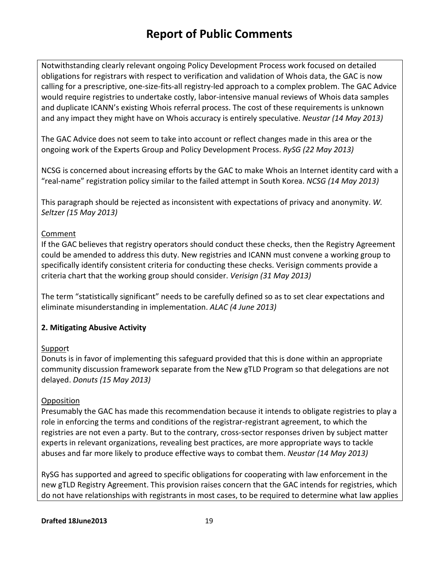Notwithstanding clearly relevant ongoing Policy Development Process work focused on detailed obligations for registrars with respect to verification and validation of Whois data, the GAC is now calling for a prescriptive, one-size-fits-all registry-led approach to a complex problem. The GAC Advice would require registries to undertake costly, labor-intensive manual reviews of Whois data samples and duplicate ICANN's existing Whois referral process. The cost of these requirements is unknown and any impact they might have on Whois accuracy is entirely speculative. *Neustar (14 May 2013)*

The GAC Advice does not seem to take into account or reflect changes made in this area or the ongoing work of the Experts Group and Policy Development Process. *RySG (22 May 2013)*

NCSG is concerned about increasing efforts by the GAC to make Whois an Internet identity card with a "real-name" registration policy similar to the failed attempt in South Korea. *NCSG (14 May 2013)*

This paragraph should be rejected as inconsistent with expectations of privacy and anonymity. *W. Seltzer (15 May 2013)*

### Comment

If the GAC believes that registry operators should conduct these checks, then the Registry Agreement could be amended to address this duty. New registries and ICANN must convene a working group to specifically identify consistent criteria for conducting these checks. Verisign comments provide a criteria chart that the working group should consider. *Verisign (31 May 2013)*

The term "statistically significant" needs to be carefully defined so as to set clear expectations and eliminate misunderstanding in implementation. *ALAC (4 June 2013)*

### **2. Mitigating Abusive Activity**

### Support

Donuts is in favor of implementing this safeguard provided that this is done within an appropriate community discussion framework separate from the New gTLD Program so that delegations are not delayed. *Donuts (15 May 2013)*

### **Opposition**

Presumably the GAC has made this recommendation because it intends to obligate registries to play a role in enforcing the terms and conditions of the registrar-registrant agreement, to which the registries are not even a party. But to the contrary, cross-sector responses driven by subject matter experts in relevant organizations, revealing best practices, are more appropriate ways to tackle abuses and far more likely to produce effective ways to combat them. *Neustar (14 May 2013)*

RySG has supported and agreed to specific obligations for cooperating with law enforcement in the new gTLD Registry Agreement. This provision raises concern that the GAC intends for registries, which do not have relationships with registrants in most cases, to be required to determine what law applies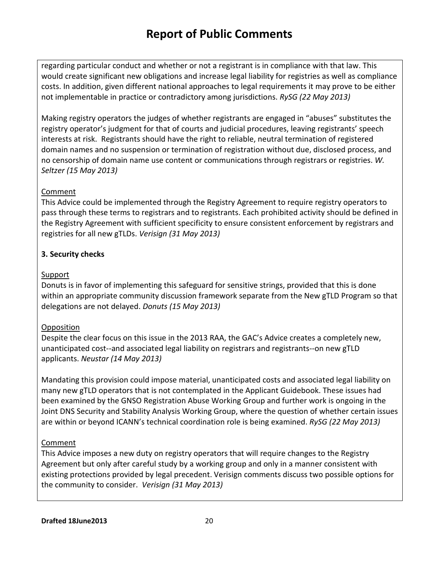regarding particular conduct and whether or not a registrant is in compliance with that law. This would create significant new obligations and increase legal liability for registries as well as compliance costs. In addition, given different national approaches to legal requirements it may prove to be either not implementable in practice or contradictory among jurisdictions. *RySG (22 May 2013)*

Making registry operators the judges of whether registrants are engaged in "abuses" substitutes the registry operator's judgment for that of courts and judicial procedures, leaving registrants' speech interests at risk. Registrants should have the right to reliable, neutral termination of registered domain names and no suspension or termination of registration without due, disclosed process, and no censorship of domain name use content or communications through registrars or registries. *W. Seltzer (15 May 2013)*

### Comment

This Advice could be implemented through the Registry Agreement to require registry operators to pass through these terms to registrars and to registrants. Each prohibited activity should be defined in the Registry Agreement with sufficient specificity to ensure consistent enforcement by registrars and registries for all new gTLDs. *Verisign (31 May 2013)*

### **3. Security checks**

### Support

Donuts is in favor of implementing this safeguard for sensitive strings, provided that this is done within an appropriate community discussion framework separate from the New gTLD Program so that delegations are not delayed. *Donuts (15 May 2013)*

### **Opposition**

Despite the clear focus on this issue in the 2013 RAA, the GAC's Advice creates a completely new, unanticipated cost--and associated legal liability on registrars and registrants--on new gTLD applicants. *Neustar (14 May 2013)*

Mandating this provision could impose material, unanticipated costs and associated legal liability on many new gTLD operators that is not contemplated in the Applicant Guidebook. These issues had been examined by the GNSO Registration Abuse Working Group and further work is ongoing in the Joint DNS Security and Stability Analysis Working Group, where the question of whether certain issues are within or beyond ICANN's technical coordination role is being examined. *RySG (22 May 2013)*

### Comment

This Advice imposes a new duty on registry operators that will require changes to the Registry Agreement but only after careful study by a working group and only in a manner consistent with existing protections provided by legal precedent. Verisign comments discuss two possible options for the community to consider. *Verisign (31 May 2013)*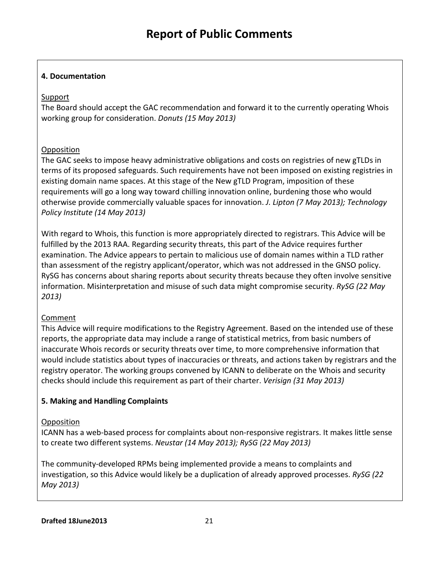### **4. Documentation**

### Support

The Board should accept the GAC recommendation and forward it to the currently operating Whois working group for consideration. *Donuts (15 May 2013)*

### **Opposition**

The GAC seeks to impose heavy administrative obligations and costs on registries of new gTLDs in terms of its proposed safeguards. Such requirements have not been imposed on existing registries in existing domain name spaces. At this stage of the New gTLD Program, imposition of these requirements will go a long way toward chilling innovation online, burdening those who would otherwise provide commercially valuable spaces for innovation. *J. Lipton (7 May 2013); Technology Policy Institute (14 May 2013)*

With regard to Whois, this function is more appropriately directed to registrars. This Advice will be fulfilled by the 2013 RAA. Regarding security threats, this part of the Advice requires further examination. The Advice appears to pertain to malicious use of domain names within a TLD rather than assessment of the registry applicant/operator, which was not addressed in the GNSO policy. RySG has concerns about sharing reports about security threats because they often involve sensitive information. Misinterpretation and misuse of such data might compromise security. *RySG (22 May 2013)*

### Comment

This Advice will require modifications to the Registry Agreement. Based on the intended use of these reports, the appropriate data may include a range of statistical metrics, from basic numbers of inaccurate Whois records or security threats over time, to more comprehensive information that would include statistics about types of inaccuracies or threats, and actions taken by registrars and the registry operator. The working groups convened by ICANN to deliberate on the Whois and security checks should include this requirement as part of their charter. *Verisign (31 May 2013)*

### **5. Making and Handling Complaints**

### **Opposition**

ICANN has a web-based process for complaints about non-responsive registrars. It makes little sense to create two different systems. *Neustar (14 May 2013); RySG (22 May 2013)*

The community-developed RPMs being implemented provide a means to complaints and investigation, so this Advice would likely be a duplication of already approved processes. *RySG (22 May 2013)*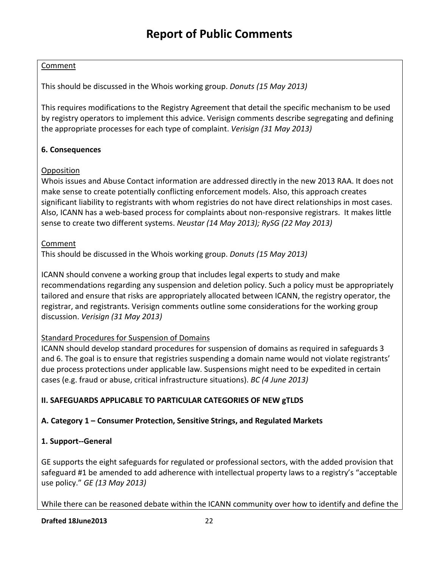### Comment

This should be discussed in the Whois working group. *Donuts (15 May 2013)*

This requires modifications to the Registry Agreement that detail the specific mechanism to be used by registry operators to implement this advice. Verisign comments describe segregating and defining the appropriate processes for each type of complaint. *Verisign (31 May 2013)*

### **6. Consequences**

### **Opposition**

Whois issues and Abuse Contact information are addressed directly in the new 2013 RAA. It does not make sense to create potentially conflicting enforcement models. Also, this approach creates significant liability to registrants with whom registries do not have direct relationships in most cases. Also, ICANN has a web-based process for complaints about non-responsive registrars. It makes little sense to create two different systems. *Neustar (14 May 2013); RySG (22 May 2013)*

### Comment

This should be discussed in the Whois working group. *Donuts (15 May 2013)*

ICANN should convene a working group that includes legal experts to study and make recommendations regarding any suspension and deletion policy. Such a policy must be appropriately tailored and ensure that risks are appropriately allocated between ICANN, the registry operator, the registrar, and registrants. Verisign comments outline some considerations for the working group discussion. *Verisign (31 May 2013)*

### Standard Procedures for Suspension of Domains

ICANN should develop standard procedures for suspension of domains as required in safeguards 3 and 6. The goal is to ensure that registries suspending a domain name would not violate registrants' due process protections under applicable law. Suspensions might need to be expedited in certain cases (e.g. fraud or abuse, critical infrastructure situations). *BC (4 June 2013)*

### **II. SAFEGUARDS APPLICABLE TO PARTICULAR CATEGORIES OF NEW gTLDS**

### **A. Category 1 – Consumer Protection, Sensitive Strings, and Regulated Markets**

### **1. Support--General**

GE supports the eight safeguards for regulated or professional sectors, with the added provision that safeguard #1 be amended to add adherence with intellectual property laws to a registry's "acceptable use policy." *GE (13 May 2013)*

While there can be reasoned debate within the ICANN community over how to identify and define the

#### **Drafted 18June2013** 22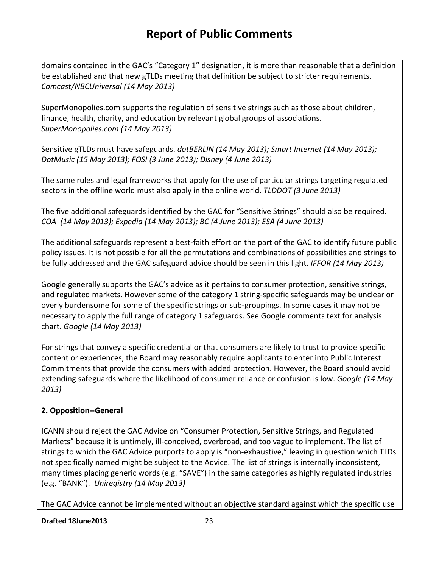domains contained in the GAC's "Category 1" designation, it is more than reasonable that a definition be established and that new gTLDs meeting that definition be subject to stricter requirements. *Comcast/NBCUniversal (14 May 2013)*

SuperMonopolies.com supports the regulation of sensitive strings such as those about children, finance, health, charity, and education by relevant global groups of associations. *SuperMonopolies.com (14 May 2013)* 

Sensitive gTLDs must have safeguards. *dotBERLIN (14 May 2013); Smart Internet (14 May 2013); DotMusic (15 May 2013); FOSI (3 June 2013); Disney (4 June 2013)*

The same rules and legal frameworks that apply for the use of particular strings targeting regulated sectors in the offline world must also apply in the online world. *TLDDOT (3 June 2013)*

The five additional safeguards identified by the GAC for "Sensitive Strings" should also be required. *COA (14 May 2013); Expedia (14 May 2013); BC (4 June 2013); ESA (4 June 2013)*

The additional safeguards represent a best-faith effort on the part of the GAC to identify future public policy issues. It is not possible for all the permutations and combinations of possibilities and strings to be fully addressed and the GAC safeguard advice should be seen in this light. *IFFOR (14 May 2013)*

Google generally supports the GAC's advice as it pertains to consumer protection, sensitive strings, and regulated markets. However some of the category 1 string-specific safeguards may be unclear or overly burdensome for some of the specific strings or sub-groupings. In some cases it may not be necessary to apply the full range of category 1 safeguards. See Google comments text for analysis chart. *Google (14 May 2013)*

For strings that convey a specific credential or that consumers are likely to trust to provide specific content or experiences, the Board may reasonably require applicants to enter into Public Interest Commitments that provide the consumers with added protection. However, the Board should avoid extending safeguards where the likelihood of consumer reliance or confusion is low. *Google (14 May 2013)*

# **2. Opposition--General**

ICANN should reject the GAC Advice on "Consumer Protection, Sensitive Strings, and Regulated Markets" because it is untimely, ill-conceived, overbroad, and too vague to implement. The list of strings to which the GAC Advice purports to apply is "non-exhaustive," leaving in question which TLDs not specifically named might be subject to the Advice. The list of strings is internally inconsistent, many times placing generic words (e.g. "SAVE") in the same categories as highly regulated industries (e.g. "BANK"). *Uniregistry (14 May 2013)*

The GAC Advice cannot be implemented without an objective standard against which the specific use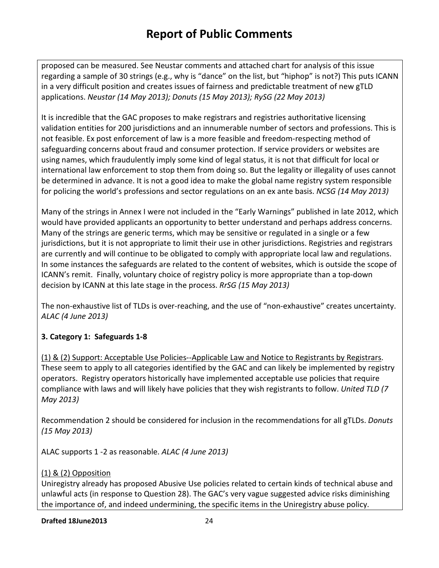proposed can be measured. See Neustar comments and attached chart for analysis of this issue regarding a sample of 30 strings (e.g., why is "dance" on the list, but "hiphop" is not?) This puts ICANN in a very difficult position and creates issues of fairness and predictable treatment of new gTLD applications. *Neustar (14 May 2013); Donuts (15 May 2013); RySG (22 May 2013)*

It is incredible that the GAC proposes to make registrars and registries authoritative licensing validation entities for 200 jurisdictions and an innumerable number of sectors and professions. This is not feasible. Ex post enforcement of law is a more feasible and freedom-respecting method of safeguarding concerns about fraud and consumer protection. If service providers or websites are using names, which fraudulently imply some kind of legal status, it is not that difficult for local or international law enforcement to stop them from doing so. But the legality or illegality of uses cannot be determined in advance. It is not a good idea to make the global name registry system responsible for policing the world's professions and sector regulations on an ex ante basis. *NCSG (14 May 2013)*

Many of the strings in Annex I were not included in the "Early Warnings" published in late 2012, which would have provided applicants an opportunity to better understand and perhaps address concerns. Many of the strings are generic terms, which may be sensitive or regulated in a single or a few jurisdictions, but it is not appropriate to limit their use in other jurisdictions. Registries and registrars are currently and will continue to be obligated to comply with appropriate local law and regulations. In some instances the safeguards are related to the content of websites, which is outside the scope of ICANN's remit. Finally, voluntary choice of registry policy is more appropriate than a top-down decision by ICANN at this late stage in the process. *RrSG (15 May 2013)*

The non-exhaustive list of TLDs is over-reaching, and the use of "non-exhaustive" creates uncertainty. *ALAC (4 June 2013)*

### **3. Category 1: Safeguards 1-8**

(1) & (2) Support: Acceptable Use Policies--Applicable Law and Notice to Registrants by Registrars. These seem to apply to all categories identified by the GAC and can likely be implemented by registry operators. Registry operators historically have implemented acceptable use policies that require compliance with laws and will likely have policies that they wish registrants to follow. *United TLD (7 May 2013)*

Recommendation 2 should be considered for inclusion in the recommendations for all gTLDs. *Donuts (15 May 2013)*

ALAC supports 1 -2 as reasonable. *ALAC (4 June 2013)*

### (1) & (2) Opposition

Uniregistry already has proposed Abusive Use policies related to certain kinds of technical abuse and unlawful acts (in response to Question 28). The GAC's very vague suggested advice risks diminishing the importance of, and indeed undermining, the specific items in the Uniregistry abuse policy.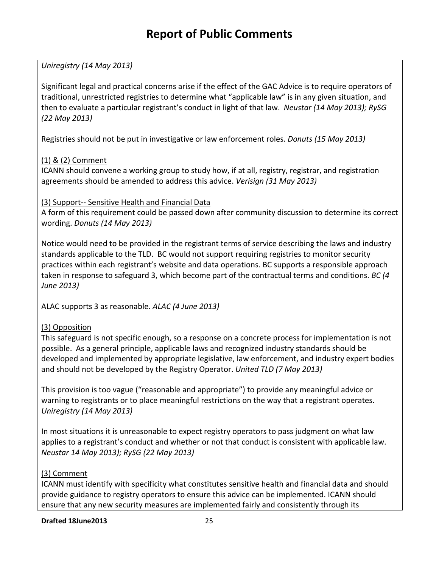*Uniregistry (14 May 2013)*

Significant legal and practical concerns arise if the effect of the GAC Advice is to require operators of traditional, unrestricted registries to determine what "applicable law" is in any given situation, and then to evaluate a particular registrant's conduct in light of that law. *Neustar (14 May 2013); RySG (22 May 2013)*

Registries should not be put in investigative or law enforcement roles. *Donuts (15 May 2013)*

### (1) & (2) Comment

ICANN should convene a working group to study how, if at all, registry, registrar, and registration agreements should be amended to address this advice. *Verisign (31 May 2013)*

### (3) Support-- Sensitive Health and Financial Data

A form of this requirement could be passed down after community discussion to determine its correct wording. *Donuts (14 May 2013)*

Notice would need to be provided in the registrant terms of service describing the laws and industry standards applicable to the TLD. BC would not support requiring registries to monitor security practices within each registrant's website and data operations. BC supports a responsible approach taken in response to safeguard 3, which become part of the contractual terms and conditions. *BC (4 June 2013)*

ALAC supports 3 as reasonable. *ALAC (4 June 2013)*

### (3) Opposition

This safeguard is not specific enough, so a response on a concrete process for implementation is not possible. As a general principle, applicable laws and recognized industry standards should be developed and implemented by appropriate legislative, law enforcement, and industry expert bodies and should not be developed by the Registry Operator. *United TLD (7 May 2013)*

This provision is too vague ("reasonable and appropriate") to provide any meaningful advice or warning to registrants or to place meaningful restrictions on the way that a registrant operates. *Uniregistry (14 May 2013)*

In most situations it is unreasonable to expect registry operators to pass judgment on what law applies to a registrant's conduct and whether or not that conduct is consistent with applicable law. *Neustar 14 May 2013); RySG (22 May 2013)*

### (3) Comment

ICANN must identify with specificity what constitutes sensitive health and financial data and should provide guidance to registry operators to ensure this advice can be implemented. ICANN should ensure that any new security measures are implemented fairly and consistently through its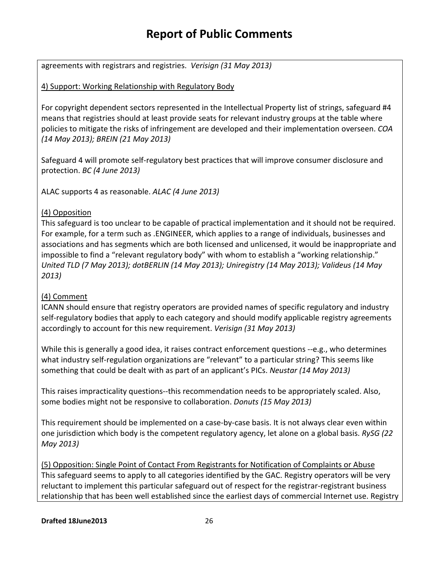agreements with registrars and registries. *Verisign (31 May 2013)*

### 4) Support: Working Relationship with Regulatory Body

For copyright dependent sectors represented in the Intellectual Property list of strings, safeguard #4 means that registries should at least provide seats for relevant industry groups at the table where policies to mitigate the risks of infringement are developed and their implementation overseen. *COA (14 May 2013); BREIN (21 May 2013)*

Safeguard 4 will promote self-regulatory best practices that will improve consumer disclosure and protection. *BC (4 June 2013)*

ALAC supports 4 as reasonable. *ALAC (4 June 2013)*

### (4) Opposition

This safeguard is too unclear to be capable of practical implementation and it should not be required. For example, for a term such as .ENGINEER, which applies to a range of individuals, businesses and associations and has segments which are both licensed and unlicensed, it would be inappropriate and impossible to find a "relevant regulatory body" with whom to establish a "working relationship." *United TLD (7 May 2013); dotBERLIN (14 May 2013); Uniregistry (14 May 2013); Valideus (14 May 2013)*

### (4) Comment

ICANN should ensure that registry operators are provided names of specific regulatory and industry self-regulatory bodies that apply to each category and should modify applicable registry agreements accordingly to account for this new requirement. *Verisign (31 May 2013)*

While this is generally a good idea, it raises contract enforcement questions --e.g., who determines what industry self-regulation organizations are "relevant" to a particular string? This seems like something that could be dealt with as part of an applicant's PICs. *Neustar (14 May 2013)*

This raises impracticality questions--this recommendation needs to be appropriately scaled. Also, some bodies might not be responsive to collaboration. *Donuts (15 May 2013)*

This requirement should be implemented on a case-by-case basis. It is not always clear even within one jurisdiction which body is the competent regulatory agency, let alone on a global basis. *RySG (22 May 2013)*

(5) Opposition: Single Point of Contact From Registrants for Notification of Complaints or Abuse This safeguard seems to apply to all categories identified by the GAC. Registry operators will be very reluctant to implement this particular safeguard out of respect for the registrar-registrant business relationship that has been well established since the earliest days of commercial Internet use. Registry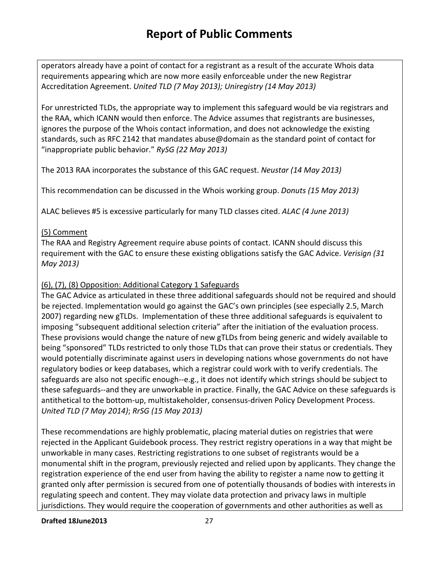operators already have a point of contact for a registrant as a result of the accurate Whois data requirements appearing which are now more easily enforceable under the new Registrar Accreditation Agreement. *United TLD (7 May 2013); Uniregistry (14 May 2013)*

For unrestricted TLDs, the appropriate way to implement this safeguard would be via registrars and the RAA, which ICANN would then enforce. The Advice assumes that registrants are businesses, ignores the purpose of the Whois contact information, and does not acknowledge the existing standards, such as RFC 2142 that mandates abuse@domain as the standard point of contact for "inappropriate public behavior." *RySG (22 May 2013)*

The 2013 RAA incorporates the substance of this GAC request. *Neustar (14 May 2013)*

This recommendation can be discussed in the Whois working group. *Donuts (15 May 2013)*

ALAC believes #5 is excessive particularly for many TLD classes cited. *ALAC (4 June 2013)*

### (5) Comment

The RAA and Registry Agreement require abuse points of contact. ICANN should discuss this requirement with the GAC to ensure these existing obligations satisfy the GAC Advice. *Verisign (31 May 2013)*

### (6), (7), (8) Opposition: Additional Category 1 Safeguards

The GAC Advice as articulated in these three additional safeguards should not be required and should be rejected. Implementation would go against the GAC's own principles (see especially 2.5, March 2007) regarding new gTLDs. Implementation of these three additional safeguards is equivalent to imposing "subsequent additional selection criteria" after the initiation of the evaluation process. These provisions would change the nature of new gTLDs from being generic and widely available to being "sponsored" TLDs restricted to only those TLDs that can prove their status or credentials. They would potentially discriminate against users in developing nations whose governments do not have regulatory bodies or keep databases, which a registrar could work with to verify credentials. The safeguards are also not specific enough--e.g., it does not identify which strings should be subject to these safeguards--and they are unworkable in practice. Finally, the GAC Advice on these safeguards is antithetical to the bottom-up, multistakeholder, consensus-driven Policy Development Process. *United TLD (7 May 2014)*; *RrSG (15 May 2013)*

These recommendations are highly problematic, placing material duties on registries that were rejected in the Applicant Guidebook process. They restrict registry operations in a way that might be unworkable in many cases. Restricting registrations to one subset of registrants would be a monumental shift in the program, previously rejected and relied upon by applicants. They change the registration experience of the end user from having the ability to register a name now to getting it granted only after permission is secured from one of potentially thousands of bodies with interests in regulating speech and content. They may violate data protection and privacy laws in multiple jurisdictions. They would require the cooperation of governments and other authorities as well as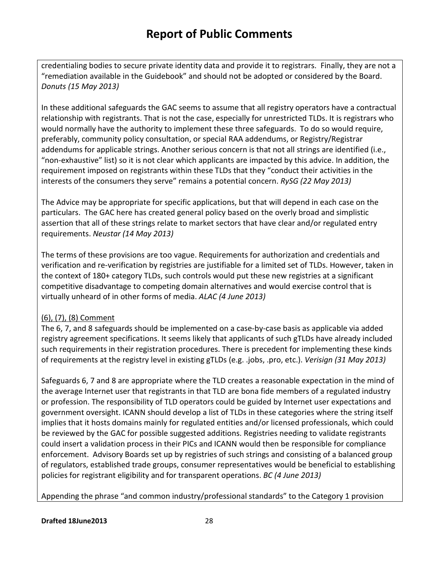credentialing bodies to secure private identity data and provide it to registrars. Finally, they are not a "remediation available in the Guidebook" and should not be adopted or considered by the Board. *Donuts (15 May 2013)*

In these additional safeguards the GAC seems to assume that all registry operators have a contractual relationship with registrants. That is not the case, especially for unrestricted TLDs. It is registrars who would normally have the authority to implement these three safeguards. To do so would require, preferably, community policy consultation, or special RAA addendums, or Registry/Registrar addendums for applicable strings. Another serious concern is that not all strings are identified (i.e., "non-exhaustive" list) so it is not clear which applicants are impacted by this advice. In addition, the requirement imposed on registrants within these TLDs that they "conduct their activities in the interests of the consumers they serve" remains a potential concern. *RySG (22 May 2013)*

The Advice may be appropriate for specific applications, but that will depend in each case on the particulars. The GAC here has created general policy based on the overly broad and simplistic assertion that all of these strings relate to market sectors that have clear and/or regulated entry requirements. *Neustar (14 May 2013)*

The terms of these provisions are too vague. Requirements for authorization and credentials and verification and re-verification by registries are justifiable for a limited set of TLDs. However, taken in the context of 180+ category TLDs, such controls would put these new registries at a significant competitive disadvantage to competing domain alternatives and would exercise control that is virtually unheard of in other forms of media. *ALAC (4 June 2013)*

### (6), (7), (8) Comment

The 6, 7, and 8 safeguards should be implemented on a case-by-case basis as applicable via added registry agreement specifications. It seems likely that applicants of such gTLDs have already included such requirements in their registration procedures. There is precedent for implementing these kinds of requirements at the registry level in existing gTLDs (e.g. .jobs, .pro, etc.). *Verisign (31 May 2013)*

Safeguards 6, 7 and 8 are appropriate where the TLD creates a reasonable expectation in the mind of the average Internet user that registrants in that TLD are bona fide members of a regulated industry or profession. The responsibility of TLD operators could be guided by Internet user expectations and government oversight. ICANN should develop a list of TLDs in these categories where the string itself implies that it hosts domains mainly for regulated entities and/or licensed professionals, which could be reviewed by the GAC for possible suggested additions. Registries needing to validate registrants could insert a validation process in their PICs and ICANN would then be responsible for compliance enforcement. Advisory Boards set up by registries of such strings and consisting of a balanced group of regulators, established trade groups, consumer representatives would be beneficial to establishing policies for registrant eligibility and for transparent operations. *BC (4 June 2013)*

Appending the phrase "and common industry/professional standards" to the Category 1 provision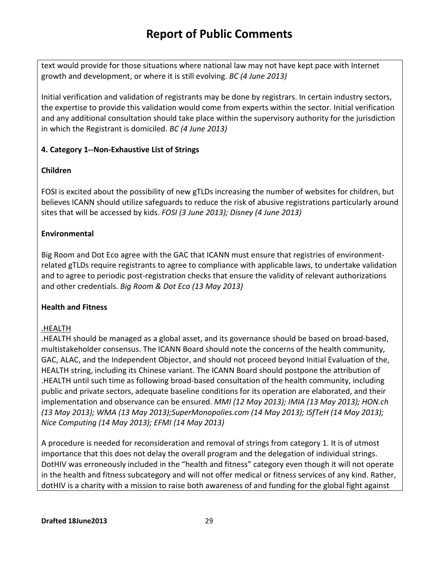text would provide for those situations where national law may not have kept pace with Internet growth and development, or where it is still evolving. *BC (4 June 2013)*

Initial verification and validation of registrants may be done by registrars. In certain industry sectors, the expertise to provide this validation would come from experts within the sector. Initial verification and any additional consultation should take place within the supervisory authority for the jurisdiction in which the Registrant is domiciled. *BC (4 June 2013)*

### **4. Category 1--Non-Exhaustive List of Strings**

### **Children**

FOSI is excited about the possibility of new gTLDs increasing the number of websites for children, but believes ICANN should utilize safeguards to reduce the risk of abusive registrations particularly around sites that will be accessed by kids. *FOSI (3 June 2013); Disney (4 June 2013)*

### **Environmental**

Big Room and Dot Eco agree with the GAC that ICANN must ensure that registries of environmentrelated gTLDs require registrants to agree to compliance with applicable laws, to undertake validation and to agree to periodic post-registration checks that ensure the validity of relevant authorizations and other credentials. *Big Room & Dot Eco (13 May 2013)*

### **Health and Fitness**

### .HEALTH

.HEALTH should be managed as a global asset, and its governance should be based on broad-based, multistakeholder consensus. The ICANN Board should note the concerns of the health community, GAC, ALAC, and the Independent Objector, and should not proceed beyond Initial Evaluation of the, HEALTH string, including its Chinese variant. The ICANN Board should postpone the attribution of .HEALTH until such time as following broad-based consultation of the health community, including public and private sectors, adequate baseline conditions for its operation are elaborated, and their implementation and observance can be ensured. *MMI (12 May 2013); IMIA (13 May 2013); HON.ch (13 May 2013); WMA (13 May 2013);SuperMonopolies.com (14 May 2013); ISfTeH (14 May 2013); Nice Computing (14 May 2013); EFMI (14 May 2013)*

A procedure is needed for reconsideration and removal of strings from category 1. It is of utmost importance that this does not delay the overall program and the delegation of individual strings. DotHIV was erroneously included in the "health and fitness" category even though it will not operate in the health and fitness subcategory and will not offer medical or fitness services of any kind. Rather, dotHIV is a charity with a mission to raise both awareness of and funding for the global fight against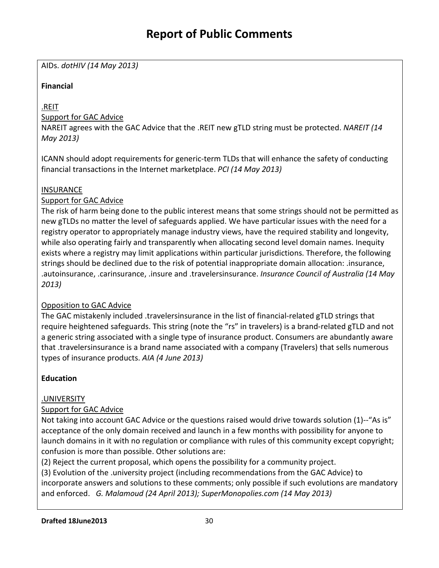AIDs. *dotHIV (14 May 2013)*

## **Financial**

.REIT

## Support for GAC Advice

NAREIT agrees with the GAC Advice that the .REIT new gTLD string must be protected. *NAREIT (14 May 2013)*

ICANN should adopt requirements for generic-term TLDs that will enhance the safety of conducting financial transactions in the Internet marketplace. *PCI (14 May 2013)*

### **INSURANCE**

### Support for GAC Advice

The risk of harm being done to the public interest means that some strings should not be permitted as new gTLDs no matter the level of safeguards applied. We have particular issues with the need for a registry operator to appropriately manage industry views, have the required stability and longevity, while also operating fairly and transparently when allocating second level domain names. Inequity exists where a registry may limit applications within particular jurisdictions. Therefore, the following strings should be declined due to the risk of potential inappropriate domain allocation: .insurance, .autoinsurance, .carinsurance, .insure and .travelersinsurance. *Insurance Council of Australia (14 May 2013)*

# Opposition to GAC Advice

The GAC mistakenly included .travelersinsurance in the list of financial-related gTLD strings that require heightened safeguards. This string (note the "rs" in travelers) is a brand-related gTLD and not a generic string associated with a single type of insurance product. Consumers are abundantly aware that .travelersinsurance is a brand name associated with a company (Travelers) that sells numerous types of insurance products. *AIA (4 June 2013)*

# **Education**

# .UNIVERSITY

### Support for GAC Advice

Not taking into account GAC Advice or the questions raised would drive towards solution (1)--"As is" acceptance of the only domain received and launch in a few months with possibility for anyone to launch domains in it with no regulation or compliance with rules of this community except copyright; confusion is more than possible. Other solutions are:

(2) Reject the current proposal, which opens the possibility for a community project.

(3) Evolution of the .university project (including recommendations from the GAC Advice) to incorporate answers and solutions to these comments; only possible if such evolutions are mandatory and enforced. *G. Malamoud (24 April 2013); SuperMonopolies.com (14 May 2013)*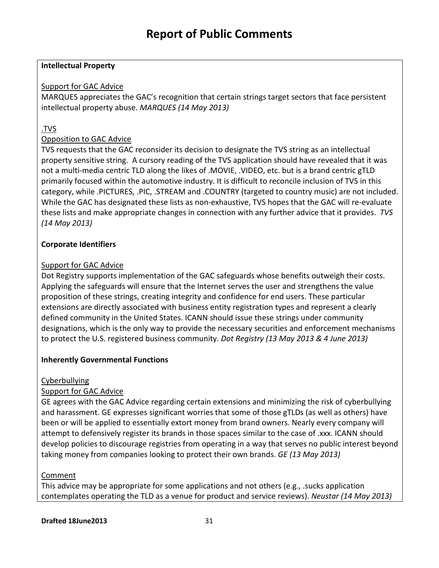#### **Intellectual Property**

### Support for GAC Advice

MARQUES appreciates the GAC's recognition that certain strings target sectors that face persistent intellectual property abuse. *MARQUES (14 May 2013)*

## .TVS

### Opposition to GAC Advice

TVS requests that the GAC reconsider its decision to designate the TVS string as an intellectual property sensitive string. A cursory reading of the TVS application should have revealed that it was not a multi-media centric TLD along the likes of .MOVIE, .VIDEO, etc. but is a brand centric gTLD primarily focused within the automotive industry. It is difficult to reconcile inclusion of TVS in this category, while .PICTURES, .PIC, .STREAM and .COUNTRY (targeted to country music) are not included. While the GAC has designated these lists as non-exhaustive, TVS hopes that the GAC will re-evaluate these lists and make appropriate changes in connection with any further advice that it provides. *TVS (14 May 2013)*

### **Corporate Identifiers**

### Support for GAC Advice

Dot Registry supports implementation of the GAC safeguards whose benefits outweigh their costs. Applying the safeguards will ensure that the Internet serves the user and strengthens the value proposition of these strings, creating integrity and confidence for end users. These particular extensions are directly associated with business entity registration types and represent a clearly defined community in the United States. ICANN should issue these strings under community designations, which is the only way to provide the necessary securities and enforcement mechanisms to protect the U.S. registered business community. *Dot Registry (13 May 2013 & 4 June 2013)*

### **Inherently Governmental Functions**

### **Cyberbullying**

### Support for GAC Advice

GE agrees with the GAC Advice regarding certain extensions and minimizing the risk of cyberbullying and harassment. GE expresses significant worries that some of those gTLDs (as well as others) have been or will be applied to essentially extort money from brand owners. Nearly every company will attempt to defensively register its brands in those spaces similar to the case of .xxx. ICANN should develop policies to discourage registries from operating in a way that serves no public interest beyond taking money from companies looking to protect their own brands. *GE (13 May 2013)*

### Comment

This advice may be appropriate for some applications and not others (e.g., .sucks application contemplates operating the TLD as a venue for product and service reviews). *Neustar (14 May 2013)*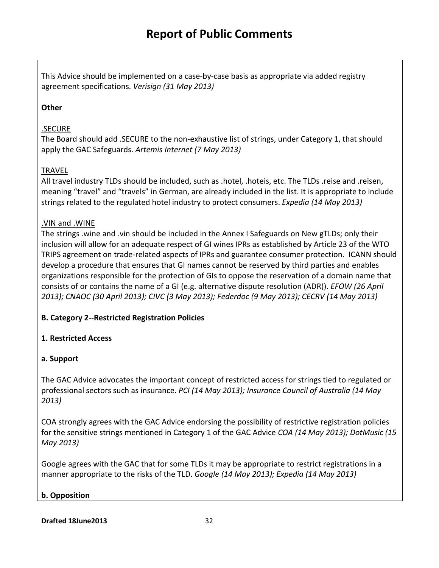This Advice should be implemented on a case-by-case basis as appropriate via added registry agreement specifications. *Verisign (31 May 2013)*

### **Other**

### .SECURE

The Board should add .SECURE to the non-exhaustive list of strings, under Category 1, that should apply the GAC Safeguards. *Artemis Internet (7 May 2013)*

### TRAVEL

All travel industry TLDs should be included, such as .hotel, .hoteis, etc. The TLDs .reise and .reisen, meaning "travel" and "travels" in German, are already included in the list. It is appropriate to include strings related to the regulated hotel industry to protect consumers. *Expedia (14 May 2013)*

### .VIN and .WINE

The strings .wine and .vin should be included in the Annex I Safeguards on New gTLDs; only their inclusion will allow for an adequate respect of GI wines IPRs as established by Article 23 of the WTO TRIPS agreement on trade-related aspects of IPRs and guarantee consumer protection. ICANN should develop a procedure that ensures that GI names cannot be reserved by third parties and enables organizations responsible for the protection of GIs to oppose the reservation of a domain name that consists of or contains the name of a GI (e.g. alternative dispute resolution (ADR)). *EFOW (26 April 2013); CNAOC (30 April 2013); CIVC (3 May 2013); Federdoc (9 May 2013); CECRV (14 May 2013)*

# **B. Category 2--Restricted Registration Policies**

# **1. Restricted Access**

# **a. Support**

The GAC Advice advocates the important concept of restricted access for strings tied to regulated or professional sectors such as insurance. *PCI (14 May 2013); Insurance Council of Australia (14 May 2013)*

COA strongly agrees with the GAC Advice endorsing the possibility of restrictive registration policies for the sensitive strings mentioned in Category 1 of the GAC Advice *COA (14 May 2013); DotMusic (15 May 2013)*

Google agrees with the GAC that for some TLDs it may be appropriate to restrict registrations in a manner appropriate to the risks of the TLD. *Google (14 May 2013); Expedia (14 May 2013)*

# **b. Opposition**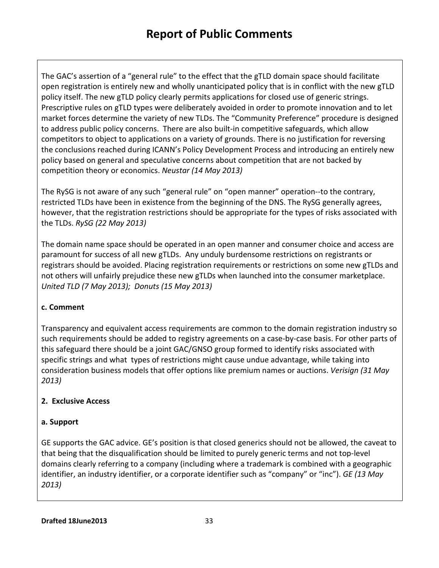The GAC's assertion of a "general rule" to the effect that the gTLD domain space should facilitate open registration is entirely new and wholly unanticipated policy that is in conflict with the new gTLD policy itself. The new gTLD policy clearly permits applications for closed use of generic strings. Prescriptive rules on gTLD types were deliberately avoided in order to promote innovation and to let market forces determine the variety of new TLDs. The "Community Preference" procedure is designed to address public policy concerns. There are also built-in competitive safeguards, which allow competitors to object to applications on a variety of grounds. There is no justification for reversing the conclusions reached during ICANN's Policy Development Process and introducing an entirely new policy based on general and speculative concerns about competition that are not backed by competition theory or economics. *Neustar (14 May 2013)*

The RySG is not aware of any such "general rule" on "open manner" operation--to the contrary, restricted TLDs have been in existence from the beginning of the DNS. The RySG generally agrees, however, that the registration restrictions should be appropriate for the types of risks associated with the TLDs. *RySG (22 May 2013)*

The domain name space should be operated in an open manner and consumer choice and access are paramount for success of all new gTLDs. Any unduly burdensome restrictions on registrants or registrars should be avoided. Placing registration requirements or restrictions on some new gTLDs and not others will unfairly prejudice these new gTLDs when launched into the consumer marketplace. *United TLD (7 May 2013); Donuts (15 May 2013)*

### **c. Comment**

Transparency and equivalent access requirements are common to the domain registration industry so such requirements should be added to registry agreements on a case-by-case basis. For other parts of this safeguard there should be a joint GAC/GNSO group formed to identify risks associated with specific strings and what types of restrictions might cause undue advantage, while taking into consideration business models that offer options like premium names or auctions. *Verisign (31 May 2013)*

### **2. Exclusive Access**

### **a. Support**

GE supports the GAC advice. GE's position is that closed generics should not be allowed, the caveat to that being that the disqualification should be limited to purely generic terms and not top-level domains clearly referring to a company (including where a trademark is combined with a geographic identifier, an industry identifier, or a corporate identifier such as "company" or "inc"). *GE (13 May 2013)*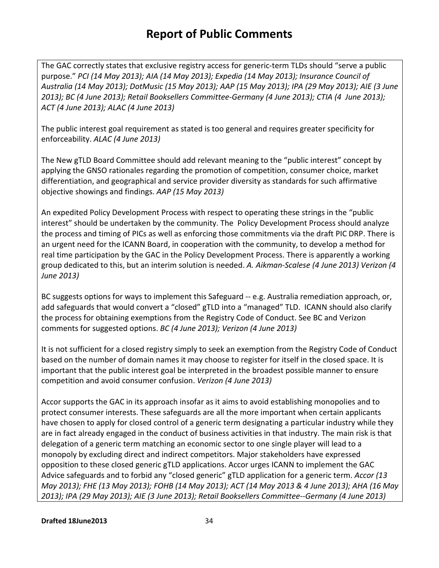The GAC correctly states that exclusive registry access for generic-term TLDs should "serve a public purpose." *PCI (14 May 2013); AIA (14 May 2013); Expedia (14 May 2013); Insurance Council of Australia (14 May 2013); DotMusic (15 May 2013); AAP (15 May 2013); IPA (29 May 2013); AIE (3 June 2013); BC (4 June 2013); Retail Booksellers Committee-Germany (4 June 2013); CTIA (4 June 2013); ACT (4 June 2013); ALAC (4 June 2013)*

The public interest goal requirement as stated is too general and requires greater specificity for enforceability. *ALAC (4 June 2013)*

The New gTLD Board Committee should add relevant meaning to the "public interest" concept by applying the GNSO rationales regarding the promotion of competition, consumer choice, market differentiation, and geographical and service provider diversity as standards for such affirmative objective showings and findings. *AAP (15 May 2013)*

An expedited Policy Development Process with respect to operating these strings in the "public interest" should be undertaken by the community. The Policy Development Process should analyze the process and timing of PICs as well as enforcing those commitments via the draft PIC DRP. There is an urgent need for the ICANN Board, in cooperation with the community, to develop a method for real time participation by the GAC in the Policy Development Process. There is apparently a working group dedicated to this, but an interim solution is needed. *A. Aikman-Scalese (4 June 2013) Verizon (4 June 2013)*

BC suggests options for ways to implement this Safeguard -- e.g. Australia remediation approach, or, add safeguards that would convert a "closed" gTLD into a "managed" TLD. ICANN should also clarify the process for obtaining exemptions from the Registry Code of Conduct. See BC and Verizon comments for suggested options. *BC (4 June 2013); Verizon (4 June 2013)*

It is not sufficient for a closed registry simply to seek an exemption from the Registry Code of Conduct based on the number of domain names it may choose to register for itself in the closed space. It is important that the public interest goal be interpreted in the broadest possible manner to ensure competition and avoid consumer confusion. *Verizon (4 June 2013)*

Accor supports the GAC in its approach insofar as it aims to avoid establishing monopolies and to protect consumer interests. These safeguards are all the more important when certain applicants have chosen to apply for closed control of a generic term designating a particular industry while they are in fact already engaged in the conduct of business activities in that industry. The main risk is that delegation of a generic term matching an economic sector to one single player will lead to a monopoly by excluding direct and indirect competitors. Major stakeholders have expressed opposition to these closed generic gTLD applications. Accor urges ICANN to implement the GAC Advice safeguards and to forbid any "closed generic" gTLD application for a generic term. *Accor (13 May 2013); FHE (13 May 2013); FOHB (14 May 2013); ACT (14 May 2013 & 4 June 2013); AHA (16 May 2013); IPA (29 May 2013); AIE (3 June 2013); Retail Booksellers Committee--Germany (4 June 2013)*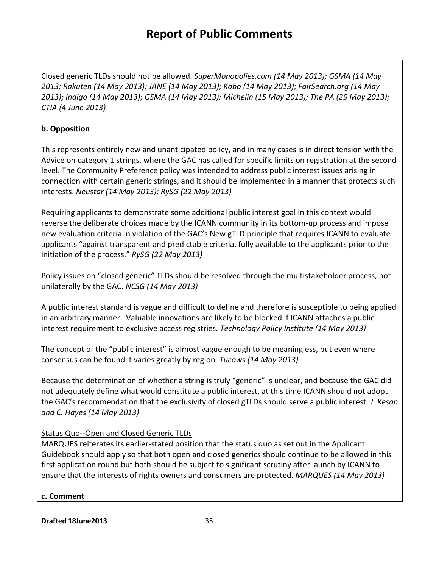Closed generic TLDs should not be allowed. *SuperMonopolies.com (14 May 2013); GSMA (14 May 2013; Rakuten (14 May 2013); JANE (14 May 2013); Kobo (14 May 2013); FairSearch.org (14 May 2013); Indigo (14 May 2013); GSMA (14 May 2013); Michelin (15 May 2013); The PA (29 May 2013); CTIA (4 June 2013)*

# **b. Opposition**

This represents entirely new and unanticipated policy, and in many cases is in direct tension with the Advice on category 1 strings, where the GAC has called for specific limits on registration at the second level. The Community Preference policy was intended to address public interest issues arising in connection with certain generic strings, and it should be implemented in a manner that protects such interests. *Neustar (14 May 2013); RySG (22 May 2013)*

Requiring applicants to demonstrate some additional public interest goal in this context would reverse the deliberate choices made by the ICANN community in its bottom-up process and impose new evaluation criteria in violation of the GAC's New gTLD principle that requires ICANN to evaluate applicants "against transparent and predictable criteria, fully available to the applicants prior to the initiation of the process." *RySG (22 May 2013)*

Policy issues on "closed generic" TLDs should be resolved through the multistakeholder process, not unilaterally by the GAC. *NCSG (14 May 2013)*

A public interest standard is vague and difficult to define and therefore is susceptible to being applied in an arbitrary manner. Valuable innovations are likely to be blocked if ICANN attaches a public interest requirement to exclusive access registries. *Technology Policy Institute (14 May 2013)*

The concept of the "public interest" is almost vague enough to be meaningless, but even where consensus can be found it varies greatly by region. *Tucows (14 May 2013)*

Because the determination of whether a string is truly "generic" is unclear, and because the GAC did not adequately define what would constitute a public interest, at this time ICANN should not adopt the GAC's recommendation that the exclusivity of closed gTLDs should serve a public interest. *J. Kesan and C. Hayes (14 May 2013)*

# Status Quo--Open and Closed Generic TLDs

MARQUES reiterates its earlier-stated position that the status quo as set out in the Applicant Guidebook should apply so that both open and closed generics should continue to be allowed in this first application round but both should be subject to significant scrutiny after launch by ICANN to ensure that the interests of rights owners and consumers are protected. *MARQUES (14 May 2013)*

### **c. Comment**

**Drafted 18June2013** 35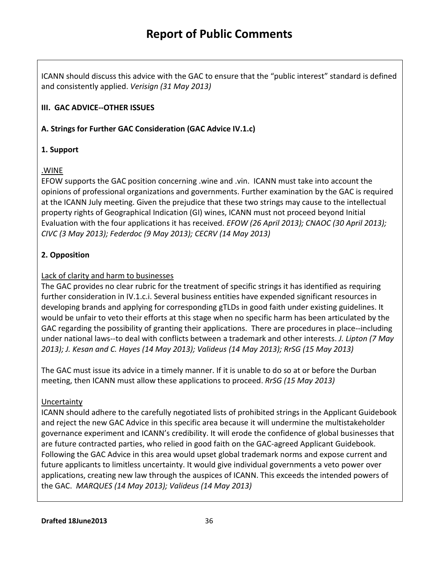ICANN should discuss this advice with the GAC to ensure that the "public interest" standard is defined and consistently applied. *Verisign (31 May 2013)*

## **III. GAC ADVICE--OTHER ISSUES**

**A. Strings for Further GAC Consideration (GAC Advice IV.1.c)**

### **1. Support**

### .WINE

EFOW supports the GAC position concerning .wine and .vin. ICANN must take into account the opinions of professional organizations and governments. Further examination by the GAC is required at the ICANN July meeting. Given the prejudice that these two strings may cause to the intellectual property rights of Geographical Indication (GI) wines, ICANN must not proceed beyond Initial Evaluation with the four applications it has received. *EFOW (26 April 2013); CNAOC (30 April 2013); CIVC (3 May 2013); Federdoc (9 May 2013); CECRV (14 May 2013)*

# **2. Opposition**

### Lack of clarity and harm to businesses

The GAC provides no clear rubric for the treatment of specific strings it has identified as requiring further consideration in IV.1.c.i. Several business entities have expended significant resources in developing brands and applying for corresponding gTLDs in good faith under existing guidelines. It would be unfair to veto their efforts at this stage when no specific harm has been articulated by the GAC regarding the possibility of granting their applications. There are procedures in place--including under national laws--to deal with conflicts between a trademark and other interests. *J. Lipton (7 May 2013); J. Kesan and C. Hayes (14 May 2013); Valideus (14 May 2013); RrSG (15 May 2013)*

The GAC must issue its advice in a timely manner. If it is unable to do so at or before the Durban meeting, then ICANN must allow these applications to proceed. *RrSG (15 May 2013)*

### Uncertainty

ICANN should adhere to the carefully negotiated lists of prohibited strings in the Applicant Guidebook and reject the new GAC Advice in this specific area because it will undermine the multistakeholder governance experiment and ICANN's credibility. It will erode the confidence of global businesses that are future contracted parties, who relied in good faith on the GAC-agreed Applicant Guidebook. Following the GAC Advice in this area would upset global trademark norms and expose current and future applicants to limitless uncertainty. It would give individual governments a veto power over applications, creating new law through the auspices of ICANN. This exceeds the intended powers of the GAC. *MARQUES (14 May 2013); Valideus (14 May 2013)*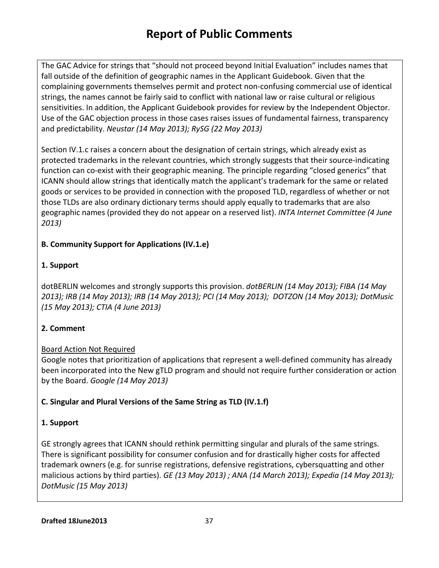The GAC Advice for strings that "should not proceed beyond Initial Evaluation" includes names that fall outside of the definition of geographic names in the Applicant Guidebook. Given that the complaining governments themselves permit and protect non-confusing commercial use of identical strings, the names cannot be fairly said to conflict with national law or raise cultural or religious sensitivities. In addition, the Applicant Guidebook provides for review by the Independent Objector. Use of the GAC objection process in those cases raises issues of fundamental fairness, transparency and predictability. *Neustar (14 May 2013); RySG (22 May 2013)*

Section IV.1.c raises a concern about the designation of certain strings, which already exist as protected trademarks in the relevant countries, which strongly suggests that their source-indicating function can co-exist with their geographic meaning. The principle regarding "closed generics" that ICANN should allow strings that identically match the applicant's trademark for the same or related goods or services to be provided in connection with the proposed TLD, regardless of whether or not those TLDs are also ordinary dictionary terms should apply equally to trademarks that are also geographic names (provided they do not appear on a reserved list). *INTA Internet Committee (4 June 2013)*

### **B. Community Support for Applications (IV.1.e)**

# **1. Support**

dotBERLIN welcomes and strongly supports this provision. *dotBERLIN (14 May 2013); FIBA (14 May 2013); IRB (14 May 2013); IRB (14 May 2013); PCI (14 May 2013); DOTZON (14 May 2013); DotMusic (15 May 2013); CTIA (4 June 2013)*

# **2. Comment**

### Board Action Not Required

Google notes that prioritization of applications that represent a well-defined community has already been incorporated into the New gTLD program and should not require further consideration or action by the Board. *Google (14 May 2013)*

### **C. Singular and Plural Versions of the Same String as TLD (IV.1.f)**

### **1. Support**

GE strongly agrees that ICANN should rethink permitting singular and plurals of the same strings. There is significant possibility for consumer confusion and for drastically higher costs for affected trademark owners (e.g. for sunrise registrations, defensive registrations, cybersquatting and other malicious actions by third parties). *GE (13 May 2013) ; ANA (14 March 2013); Expedia (14 May 2013); DotMusic (15 May 2013)*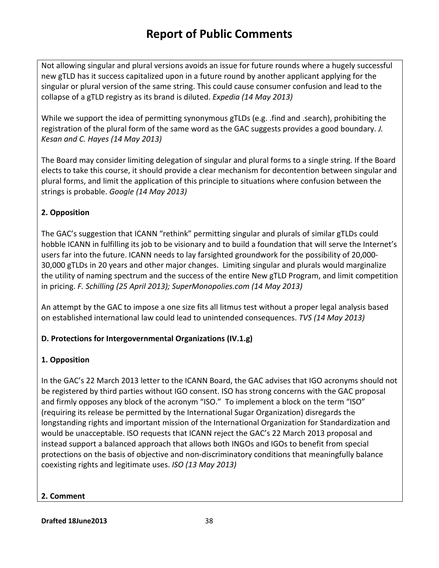Not allowing singular and plural versions avoids an issue for future rounds where a hugely successful new gTLD has it success capitalized upon in a future round by another applicant applying for the singular or plural version of the same string. This could cause consumer confusion and lead to the collapse of a gTLD registry as its brand is diluted. *Expedia (14 May 2013)*

While we support the idea of permitting synonymous gTLDs (e.g. .find and .search), prohibiting the registration of the plural form of the same word as the GAC suggests provides a good boundary. *J. Kesan and C. Hayes (14 May 2013)*

The Board may consider limiting delegation of singular and plural forms to a single string. If the Board elects to take this course, it should provide a clear mechanism for decontention between singular and plural forms, and limit the application of this principle to situations where confusion between the strings is probable. *Google (14 May 2013)*

### **2. Opposition**

The GAC's suggestion that ICANN "rethink" permitting singular and plurals of similar gTLDs could hobble ICANN in fulfilling its job to be visionary and to build a foundation that will serve the Internet's users far into the future. ICANN needs to lay farsighted groundwork for the possibility of 20,000- 30,000 gTLDs in 20 years and other major changes. Limiting singular and plurals would marginalize the utility of naming spectrum and the success of the entire New gTLD Program, and limit competition in pricing. *F. Schilling (25 April 2013); SuperMonopolies.com (14 May 2013)*

An attempt by the GAC to impose a one size fits all litmus test without a proper legal analysis based on established international law could lead to unintended consequences. *TVS (14 May 2013)*

### **D. Protections for Intergovernmental Organizations (IV.1.g)**

### **1. Opposition**

In the GAC's 22 March 2013 letter to the ICANN Board, the GAC advises that IGO acronyms should not be registered by third parties without IGO consent. ISO has strong concerns with the GAC proposal and firmly opposes any block of the acronym "ISO." To implement a block on the term "ISO" (requiring its release be permitted by the International Sugar Organization) disregards the longstanding rights and important mission of the International Organization for Standardization and would be unacceptable. ISO requests that ICANN reject the GAC's 22 March 2013 proposal and instead support a balanced approach that allows both INGOs and IGOs to benefit from special protections on the basis of objective and non-discriminatory conditions that meaningfully balance coexisting rights and legitimate uses. *ISO (13 May 2013)*

### **2. Comment**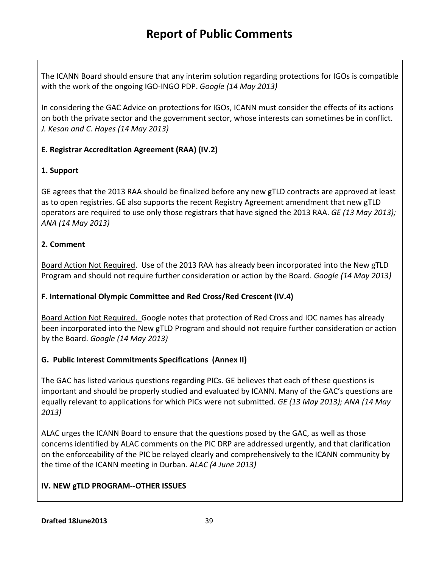The ICANN Board should ensure that any interim solution regarding protections for IGOs is compatible with the work of the ongoing IGO-INGO PDP. *Google (14 May 2013)*

In considering the GAC Advice on protections for IGOs, ICANN must consider the effects of its actions on both the private sector and the government sector, whose interests can sometimes be in conflict. *J. Kesan and C. Hayes (14 May 2013)*

# **E. Registrar Accreditation Agreement (RAA) (IV.2)**

### **1. Support**

GE agrees that the 2013 RAA should be finalized before any new gTLD contracts are approved at least as to open registries. GE also supports the recent Registry Agreement amendment that new gTLD operators are required to use only those registrars that have signed the 2013 RAA. *GE (13 May 2013); ANA (14 May 2013)*

### **2. Comment**

Board Action Not Required. Use of the 2013 RAA has already been incorporated into the New gTLD Program and should not require further consideration or action by the Board. *Google (14 May 2013)*

### **F. International Olympic Committee and Red Cross/Red Crescent (IV.4)**

Board Action Not Required. Google notes that protection of Red Cross and IOC names has already been incorporated into the New gTLD Program and should not require further consideration or action by the Board. *Google (14 May 2013)*

### **G. Public Interest Commitments Specifications (Annex II)**

The GAC has listed various questions regarding PICs. GE believes that each of these questions is important and should be properly studied and evaluated by ICANN. Many of the GAC's questions are equally relevant to applications for which PICs were not submitted. *GE (13 May 2013); ANA (14 May 2013)*

ALAC urges the ICANN Board to ensure that the questions posed by the GAC, as well as those concerns identified by ALAC comments on the PIC DRP are addressed urgently, and that clarification on the enforceability of the PIC be relayed clearly and comprehensively to the ICANN community by the time of the ICANN meeting in Durban. *ALAC (4 June 2013)*

# **IV. NEW gTLD PROGRAM--OTHER ISSUES**